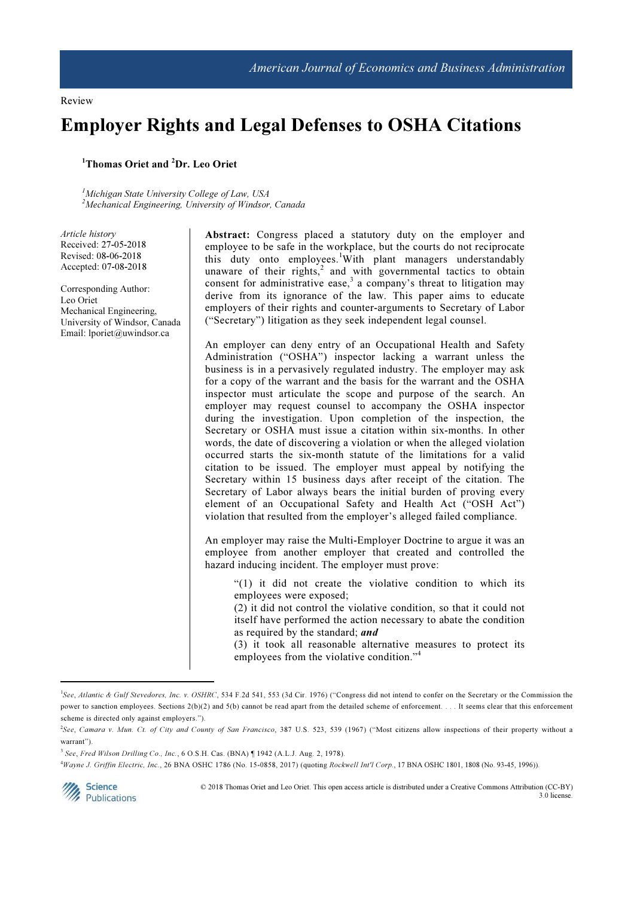Review

# Employer Rights and Legal Defenses to OSHA Citations

## <sup>1</sup>Thomas Oriet and <sup>2</sup>Dr. Leo Oriet

<sup>1</sup>Michigan State University College of Law, USA <sup>2</sup>Mechanical Engineering, University of Windsor, Canada

Article history Received: 27-05-2018 Revised: 08-06-2018 Accepted: 07-08-2018

Corresponding Author: Leo Oriet Mechanical Engineering, University of Windsor, Canada Email: lporiet@uwindsor.ca

Abstract: Congress placed a statutory duty on the employer and employee to be safe in the workplace, but the courts do not reciprocate this duty onto employees.<sup>1</sup>With plant managers understandably unaware of their rights,<sup>2</sup> and with governmental tactics to obtain consent for administrative ease,<sup>3</sup> a company's threat to litigation may derive from its ignorance of the law. This paper aims to educate employers of their rights and counter-arguments to Secretary of Labor ("Secretary") litigation as they seek independent legal counsel.

An employer can deny entry of an Occupational Health and Safety Administration ("OSHA") inspector lacking a warrant unless the business is in a pervasively regulated industry. The employer may ask for a copy of the warrant and the basis for the warrant and the OSHA inspector must articulate the scope and purpose of the search. An employer may request counsel to accompany the OSHA inspector during the investigation. Upon completion of the inspection, the Secretary or OSHA must issue a citation within six-months. In other words, the date of discovering a violation or when the alleged violation occurred starts the six-month statute of the limitations for a valid citation to be issued. The employer must appeal by notifying the Secretary within 15 business days after receipt of the citation. The Secretary of Labor always bears the initial burden of proving every element of an Occupational Safety and Health Act ("OSH Act") violation that resulted from the employer's alleged failed compliance.

An employer may raise the Multi-Employer Doctrine to argue it was an employee from another employer that created and controlled the hazard inducing incident. The employer must prove:

"(1) it did not create the violative condition to which its employees were exposed;

(2) it did not control the violative condition, so that it could not itself have performed the action necessary to abate the condition as required by the standard; and

(3) it took all reasonable alternative measures to protect its employees from the violative condition." $4$ 

<sup>4</sup>Wayne J. Griffin Electric, Inc., 26 BNA OSHC 1786 (No. 15-0858, 2017) (quoting Rockwell Int'l Corp., 17 BNA OSHC 1801, 1808 (No. 93-45, 1996)).



l

 © 2018 Thomas Oriet and Leo Oriet. This open access article is distributed under a Creative Commons Attribution (CC-BY) 3.0 license.

<sup>&</sup>lt;sup>1</sup>See, Atlantic & Gulf Stevedores, Inc. v. OSHRC, 534 F.2d 541, 553 (3d Cir. 1976) ("Congress did not intend to confer on the Secretary or the Commission the power to sanction employees. Sections 2(b)(2) and 5(b) cannot be read apart from the detailed scheme of enforcement. . . . It seems clear that this enforcement scheme is directed only against employers.").

<sup>&</sup>lt;sup>2</sup>See, Camara v. Mun. Ct. of City and County of San Francisco, 387 U.S. 523, 539 (1967) ("Most citizens allow inspections of their property without a warrant").

<sup>&</sup>lt;sup>3</sup> See, Fred Wilson Drilling Co., Inc., 6 O.S.H. Cas. (BNA) | 1942 (A.L.J. Aug. 2, 1978).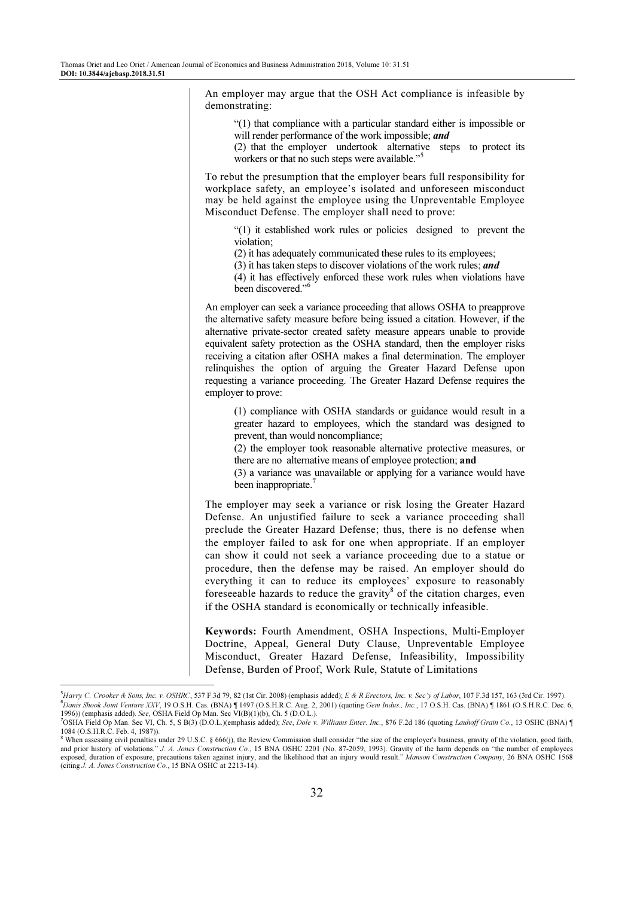An employer may argue that the OSH Act compliance is infeasible by demonstrating: "(1) that compliance with a particular standard either is impossible or will render performance of the work impossible; and (2) that the employer undertook alternative steps to protect its workers or that no such steps were available."<sup>5</sup> To rebut the presumption that the employer bears full responsibility for workplace safety, an employee's isolated and unforeseen misconduct may be held against the employee using the Unpreventable Employee Misconduct Defense. The employer shall need to prove: "(1) it established work rules or policies designed to prevent the violation; (2) it has adequately communicated these rules to its employees; (3) it has taken steps to discover violations of the work rules; and (4) it has effectively enforced these work rules when violations have been discovered."<sup>6</sup> An employer can seek a variance proceeding that allows OSHA to preapprove the alternative safety measure before being issued a citation. However, if the alternative private-sector created safety measure appears unable to provide equivalent safety protection as the OSHA standard, then the employer risks receiving a citation after OSHA makes a final determination. The employer relinquishes the option of arguing the Greater Hazard Defense upon requesting a variance proceeding. The Greater Hazard Defense requires the employer to prove: (1) compliance with OSHA standards or guidance would result in a greater hazard to employees, which the standard was designed to prevent, than would noncompliance; (2) the employer took reasonable alternative protective measures, or there are no alternative means of employee protection; and (3) a variance was unavailable or applying for a variance would have been inappropriate. $7$ The employer may seek a variance or risk losing the Greater Hazard Defense. An unjustified failure to seek a variance proceeding shall preclude the Greater Hazard Defense; thus, there is no defense when the employer failed to ask for one when appropriate. If an employer can show it could not seek a variance proceeding due to a statue or procedure, then the defense may be raised. An employer should do everything it can to reduce its employees' exposure to reasonably foreseeable hazards to reduce the gravity<sup>8</sup> of the citation charges, even if the OSHA standard is economically or technically infeasible.

Keywords: Fourth Amendment, OSHA Inspections, Multi-Employer Doctrine, Appeal, General Duty Clause, Unpreventable Employee Misconduct, Greater Hazard Defense, Infeasibility, Impossibility Defense, Burden of Proof, Work Rule, Statute of Limitations

<sup>5</sup>Harry C. Crooker & Sons, Inc. v. OSHRC, 537 F.3d 79, 82 (1st Cir. 2008) (emphasis added); E & R Erectors, Inc. v. Sec'y of Labor, 107 F.3d 157, 163 (3rd Cir. 1997). <sup>6</sup>Danis Shook Joint Venture XXV, 19 O.S.H. Cas. (BNA) ¶ 1497 (O.S.H.R.C. Aug. 2, 2001) (quoting Gem Indus., Inc., 17 O.S.H. Cas. (BNA) ¶ 1861 (O.S.H.R.C. Dec. 6, 1996)) (emphasis added). See, OSHA Field Op Man. Sec VI(B)(1)(b), Ch. 5 (D.O.L.).

<sup>&</sup>lt;sup>7</sup>OSHA Field Op Man. Sec VI, Ch. 5, S B(3) (D.O.L.)(emphasis added); See, Dole v. Williams Enter. Inc., 876 F.2d 186 (quoting Lauhoff Grain Co., 13 OSHC (BNA) ¶ 1084 (O.S.H.R.C. Feb. 4, 1987)).

<sup>&</sup>lt;sup>8</sup> When assessing civil penalties under 29 U.S.C. § 666(j), the Review Commission shall consider "the size of the employer's business, gravity of the violation, good faith, and prior history of violations." J. A. Jones Construction Co., 15 BNA OSHC 2201 (No. 87-2059, 1993). Gravity of the harm depends on "the number of employees exposed, duration of exposure, precautions taken against injury, and the likelihood that an injury would result." Manson Construction Company, 26 BNA OSHC 1568 (citing J. A. Jones Construction Co., 15 BNA OSHC at 2213-14).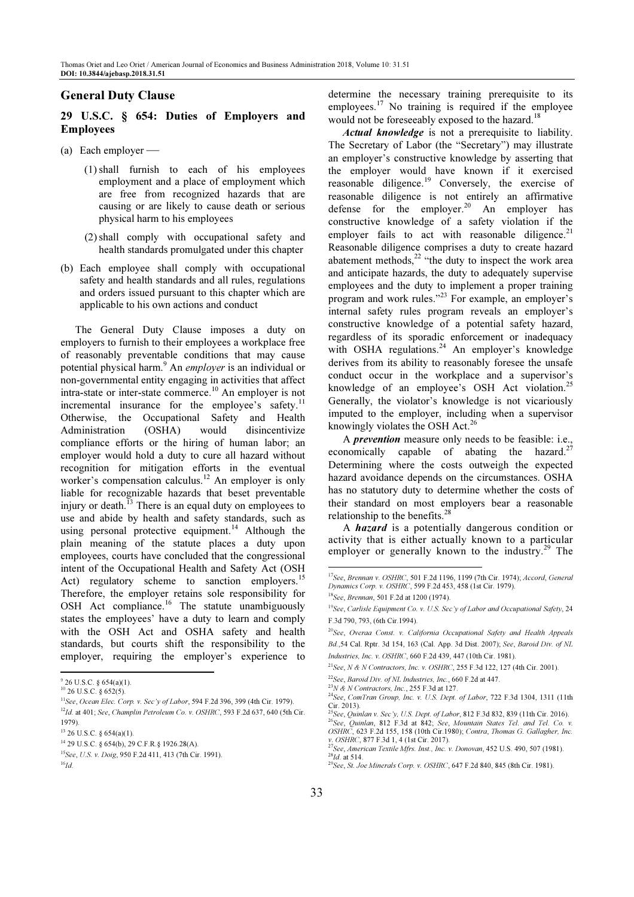## General Duty Clause

# 29 U.S.C. § 654: Duties of Employers and Employees

- (a) Each employer
	- (1) shall furnish to each of his employees employment and a place of employment which are free from recognized hazards that are causing or are likely to cause death or serious physical harm to his employees
	- (2)shall comply with occupational safety and health standards promulgated under this chapter
- (b) Each employee shall comply with occupational safety and health standards and all rules, regulations and orders issued pursuant to this chapter which are applicable to his own actions and conduct

The General Duty Clause imposes a duty on employers to furnish to their employees a workplace free of reasonably preventable conditions that may cause potential physical harm.<sup>9</sup> An employer is an individual or non-governmental entity engaging in activities that affect intra-state or inter-state commerce.<sup>10</sup> An employer is not incremental insurance for the employee's safety.<sup>11</sup> Otherwise, the Occupational Safety and Health Administration (OSHA) would disincentivize compliance efforts or the hiring of human labor; an employer would hold a duty to cure all hazard without recognition for mitigation efforts in the eventual worker's compensation calculus.<sup>12</sup> An employer is only liable for recognizable hazards that beset preventable injury or death. $^{13}$  There is an equal duty on employees to use and abide by health and safety standards, such as using personal protective equipment.<sup>14</sup> Although the plain meaning of the statute places a duty upon employees, courts have concluded that the congressional intent of the Occupational Health and Safety Act (OSH Act) regulatory scheme to sanction employers.<sup>15</sup> Therefore, the employer retains sole responsibility for OSH Act compliance.<sup>16</sup> The statute unambiguously states the employees' have a duty to learn and comply with the OSH Act and OSHA safety and health standards, but courts shift the responsibility to the employer, requiring the employer's experience to l

determine the necessary training prerequisite to its employees. $17$  No training is required if the employee would not be foreseeably exposed to the hazard.<sup>18</sup>

Actual knowledge is not a prerequisite to liability. The Secretary of Labor (the "Secretary") may illustrate an employer's constructive knowledge by asserting that the employer would have known if it exercised reasonable diligence.<sup>19</sup> Conversely, the exercise of reasonable diligence is not entirely an affirmative reasonable unique is not employer.<sup>20</sup> An employer has defense for the employer.<sup>20</sup> An employer has constructive knowledge of a safety violation if the employer fails to act with reasonable diligence. $2<sup>1</sup>$ Reasonable diligence comprises a duty to create hazard abatement methods, $^{22}$  "the duty to inspect the work area and anticipate hazards, the duty to adequately supervise employees and the duty to implement a proper training program and work rules."<sup>23</sup> For example, an employer's internal safety rules program reveals an employer's constructive knowledge of a potential safety hazard, regardless of its sporadic enforcement or inadequacy with OSHA regulations.<sup>24</sup> An employer's knowledge derives from its ability to reasonably foresee the unsafe conduct occur in the workplace and a supervisor's knowledge of an employee's OSH Act violation.<sup>25</sup> Generally, the violator's knowledge is not vicariously imputed to the employer, including when a supervisor knowingly violates the OSH Act.<sup>26</sup>

A prevention measure only needs to be feasible: i.e., economically capable of abating the hazard. $27$ Determining where the costs outweigh the expected hazard avoidance depends on the circumstances. OSHA has no statutory duty to determine whether the costs of their standard on most employers bear a reasonable relationship to the benefits.<sup>28</sup>

A hazard is a potentially dangerous condition or activity that is either actually known to a particular employer or generally known to the industry.<sup>29</sup> The

 $22$ See, Baroid Div. of NL Industries, Inc., 660 F.2d at 447.

 $9$  26 U.S.C. § 654(a)(1).

<sup>10</sup> 26 U.S.C. § 652(5).

 $11$ See, Ocean Elec. Corp. v. Sec'y of Labor, 594 F.2d 396, 399 (4th Cir. 1979).

 $12$ Id. at 401; See, Champlin Petroleum Co. v. OSHRC, 593 F.2d 637, 640 (5th Cir. 1979).

<sup>13</sup> 26 U.S.C. § 654(a)(1).

<sup>14</sup> 29 U.S.C. § 654(b), 29 C.F.R.§ 1926.28(A).

<sup>15</sup>See, U.S. v. Doig, 950 F.2d 411, 413 (7th Cir. 1991).

 $^{16}Id.$ 

<sup>&</sup>lt;sup>17</sup>See, Brennan v. OSHRC, 501 F.2d 1196, 1199 (7th Cir. 1974); Accord, General Dynamics Corp. v. OSHRC, 599 F.2d 453, 458 (1st Cir. 1979).

<sup>18</sup>See, Brennan, 501 F.2d at 1200 (1974).

<sup>&</sup>lt;sup>19</sup>See, Carlisle Equipment Co. v. U.S. Sec'y of Labor and Occupational Safety, 24 F.3d 790, 793, (6th Cir.1994).

<sup>&</sup>lt;sup>20</sup>See, Overaa Const. v. California Occupational Safety and Health Appeals Bd.,54 Cal. Rptr. 3d 154, 163 (Cal. App. 3d Dist. 2007); See, Baroid Div. of NL Industries, Inc. v. OSHRC, 660 F.2d 439, 447 (10th Cir. 1981).

<sup>&</sup>lt;sup>21</sup>See, N & N Contractors, Inc. v. OSHRC, 255 F.3d 122, 127 (4th Cir. 2001).

 $^{23}N$  & N Contractors, Inc., 255 F.3d at 127.

 $^{24}$ See, ComTran Group, Inc. v. U.S. Dept. of Labor, 722 F.3d 1304, 1311 (11th Cir. 2013).

<sup>&</sup>lt;sup>25</sup>See, *Quinlan v. Sec'y, U.S. Dept. of Labor*, 812 F.3d 832, 839 (11th Cir. 2016).

 $^{26}$ See, Quinlan, 812 F.3d at 842; See, Mountain States Tel. and Tel. Co. v. OSHRC, 623 F.2d 155, 158 (10th Cir.1980); Contra, Thomas G. Gallagher, Inc. v. OSHRC, 877 F.3d 1, 4 (1st Cir. 2017).

<sup>&</sup>lt;sup>7</sup>See, American Textile Mfrs. Inst., Inc. v. Donovan, 452 U.S. 490, 507 (1981).  $^{28}$ Id. at 514.

 $2^{9}$ See, St. Joe Minerals Corp. v. OSHRC, 647 F.2d 840, 845 (8th Cir. 1981).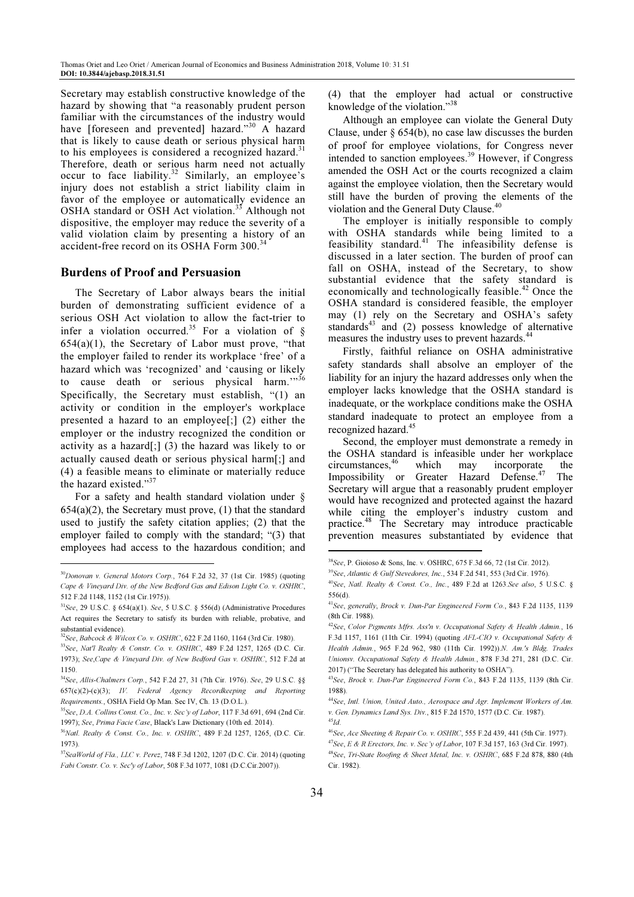Secretary may establish constructive knowledge of the hazard by showing that "a reasonably prudent person familiar with the circumstances of the industry would have [foreseen and prevented] hazard."30 A hazard that is likely to cause death or serious physical harm to his employees is considered a recognized hazard.<sup>31</sup> Therefore, death or serious harm need not actually occur to face liability.<sup>32</sup> Similarly, an employee's injury does not establish a strict liability claim in favor of the employee or automatically evidence an OSHA standard or OSH Act violation.<sup>33</sup> Although not dispositive, the employer may reduce the severity of a valid violation claim by presenting a history of an accident-free record on its OSHA Form 300.<sup>3</sup>

#### Burdens of Proof and Persuasion

The Secretary of Labor always bears the initial burden of demonstrating sufficient evidence of a serious OSH Act violation to allow the fact-trier to infer a violation occurred.<sup>35</sup> For a violation of §  $654(a)(1)$ , the Secretary of Labor must prove, "that the employer failed to render its workplace 'free' of a hazard which was 'recognized' and 'causing or likely to cause death or serious physical harm.""36 Specifically, the Secretary must establish, "(1) an activity or condition in the employer's workplace presented a hazard to an employee[;] (2) either the employer or the industry recognized the condition or activity as a hazard[;] (3) the hazard was likely to or actually caused death or serious physical harm[;] and (4) a feasible means to eliminate or materially reduce the hazard existed."37

For a safety and health standard violation under §  $654(a)(2)$ , the Secretary must prove,  $(1)$  that the standard used to justify the safety citation applies; (2) that the employer failed to comply with the standard; "(3) that employees had access to the hazardous condition; and l

(4) that the employer had actual or constructive knowledge of the violation."<sup>38</sup>

Although an employee can violate the General Duty Clause, under § 654(b), no case law discusses the burden of proof for employee violations, for Congress never intended to sanction employees.<sup>39</sup> However, if Congress amended the OSH Act or the courts recognized a claim against the employee violation, then the Secretary would still have the burden of proving the elements of the violation and the General Duty Clause.<sup>40</sup>

The employer is initially responsible to comply with OSHA standards while being limited to a feasibility standard.<sup>41</sup> The infeasibility defense is discussed in a later section. The burden of proof can fall on OSHA, instead of the Secretary, to show substantial evidence that the safety standard is economically and technologically feasible.<sup>42</sup> Once the OSHA standard is considered feasible, the employer may (1) rely on the Secretary and OSHA's safety standards<sup>43</sup> and (2) possess knowledge of alternative measures the industry uses to prevent hazards.<sup>44</sup>

Firstly, faithful reliance on OSHA administrative safety standards shall absolve an employer of the liability for an injury the hazard addresses only when the employer lacks knowledge that the OSHA standard is inadequate, or the workplace conditions make the OSHA standard inadequate to protect an employee from a recognized hazard.<sup>45</sup>

Second, the employer must demonstrate a remedy in the OSHA standard is infeasible under her workplace circumstances,<sup>46</sup> which may incorporate the Impossibility or Greater Hazard Defense.<sup>47</sup> The Secretary will argue that a reasonably prudent employer would have recognized and protected against the hazard while citing the employer's industry custom and practice.<sup>48</sup> The Secretary may introduce practicable prevention measures substantiated by evidence that

 $\overline{\phantom{a}}$ 

<sup>30</sup>Donovan v. General Motors Corp., 764 F.2d 32, 37 (1st Cir. 1985) (quoting Cape & Vineyard Div. of the New Bedford Gas and Edison Light Co. v. OSHRC, 512 F.2d 1148, 1152 (1st Cir.1975)).

<sup>31</sup>See, 29 U.S.C. § 654(a)(1). See, 5 U.S.C. § 556(d) (Administrative Procedures Act requires the Secretary to satisfy its burden with reliable, probative, and substantial evidence).

<sup>32</sup>See, Babcock & Wilcox Co. v. OSHRC, 622 F.2d 1160, 1164 (3rd Cir. 1980).

<sup>33</sup>See, Nat'l Realty & Constr. Co. v. OSHRC, 489 F.2d 1257, 1265 (D.C. Cir. 1973); See,Cape & Vineyard Div. of New Bedford Gas v. OSHRC, 512 F.2d at 1150.

<sup>34</sup>See, Allis-Chalmers Corp., 542 F.2d 27, 31 (7th Cir. 1976). See, 29 U.S.C. §§ 657(c)(2)-(c)(3); IV. Federal Agency Recordkeeping and Reporting Requirements., OSHA Field Op Man. Sec IV, Ch. 13 (D.O.L.).

 $35$ See, D.A. Collins Const. Co., Inc. v. Sec'y of Labor, 117 F.3d 691, 694 (2nd Cir.) 1997); See, Prima Facie Case, Black's Law Dictionary (10th ed. 2014).

<sup>&</sup>lt;sup>36</sup>Natl. Realty & Const. Co., Inc. v. OSHRC, 489 F.2d 1257, 1265, (D.C. Cir. 1973).

<sup>37</sup>SeaWorld of Fla., LLC v. Perez, 748 F.3d 1202, 1207 (D.C. Cir. 2014) (quoting Fabi Constr. Co. v. Sec'y of Labor, 508 F.3d 1077, 1081 (D.C.Cir.2007)).

<sup>38</sup>See, P. Gioioso & Sons, Inc. v. OSHRC, 675 F.3d 66, 72 (1st Cir. 2012).

<sup>39</sup>See, Atlantic & Gulf Stevedores, Inc., 534 F.2d 541, 553 (3rd Cir. 1976).

<sup>&</sup>lt;sup>40</sup>See, Natl. Realty & Const. Co., Inc., 489 F.2d at 1263.See also, 5 U.S.C.  $\S$ 556(d).

<sup>41</sup>See, generally, Brock v. Dun-Par Engineered Form Co., 843 F.2d 1135, 1139 (8th Cir. 1988).

 $42$ See, Color Pigments Mfrs. Ass'n v. Occupational Safety & Health Admin., 16 F.3d 1157, 1161 (11th Cir. 1994) (quoting AFL-CIO v. Occupational Safety & Health Admin., 965 F.2d 962, 980 (11th Cir. 1992)).N. Am.'s Bldg. Trades Unionsv. Occupational Safety & Health Admin., 878 F.3d 271, 281 (D.C. Cir. 2017) ("The Secretary has delegated his authority to OSHA").

<sup>43</sup>See, Brock v. Dun-Par Engineered Form Co., 843 F.2d 1135, 1139 (8th Cir. 1988).

<sup>&</sup>lt;sup>44</sup>See, Intl. Union, United Auto., Aerospace and Agr. Implement Workers of Am. v. Gen. Dynamics Land Sys. Div., 815 F.2d 1570, 1577 (D.C. Cir. 1987).  $^{45}\!Id.$ 

<sup>46</sup>See, Ace Sheeting & Repair Co. v. OSHRC, 555 F.2d 439, 441 (5th Cir. 1977).

 $^{47}$ See, E & R Erectors, Inc. v. Sec'y of Labor, 107 F.3d 157, 163 (3rd Cir. 1997). <sup>48</sup>See, Tri-State Roofing & Sheet Metal, Inc. v. OSHRC, 685 F.2d 878, 880 (4th Cir. 1982).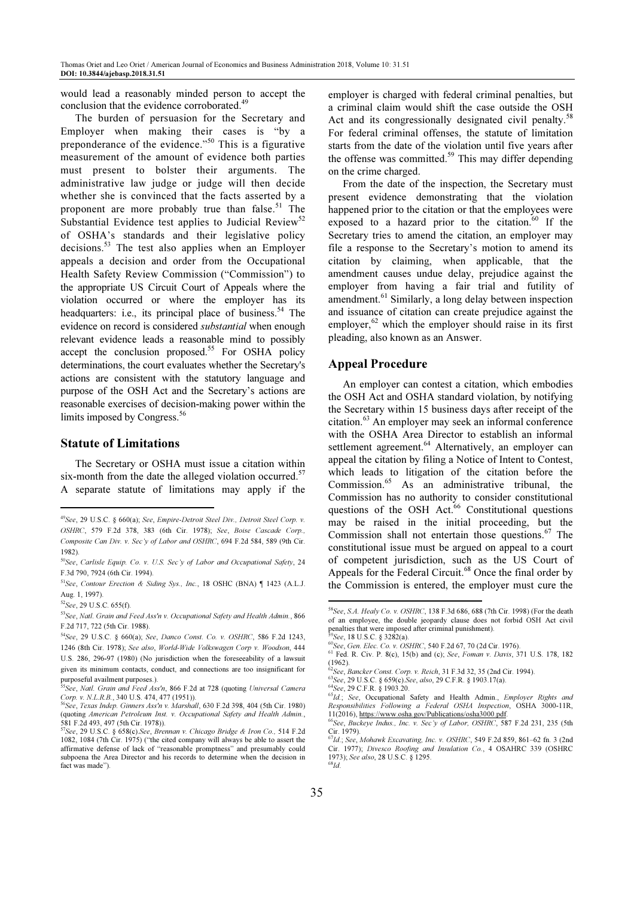would lead a reasonably minded person to accept the conclusion that the evidence corroborated.<sup>49</sup>

The burden of persuasion for the Secretary and Employer when making their cases is "by a preponderance of the evidence."<sup>50</sup> This is a figurative measurement of the amount of evidence both parties must present to bolster their arguments. The administrative law judge or judge will then decide whether she is convinced that the facts asserted by a proponent are more probably true than false.<sup>51</sup> The Substantial Evidence test applies to Judicial Review<sup>52</sup> of OSHA's standards and their legislative policy decisions.<sup>53</sup> The test also applies when an Employer appeals a decision and order from the Occupational Health Safety Review Commission ("Commission") to the appropriate US Circuit Court of Appeals where the violation occurred or where the employer has its headquarters: i.e., its principal place of business.<sup>54</sup> The evidence on record is considered substantial when enough relevant evidence leads a reasonable mind to possibly accept the conclusion proposed.<sup>55</sup> For OSHA policy determinations, the court evaluates whether the Secretary's actions are consistent with the statutory language and purpose of the OSH Act and the Secretary's actions are reasonable exercises of decision-making power within the limits imposed by Congress.<sup>56</sup>

## Statute of Limitations

The Secretary or OSHA must issue a citation within six-month from the date the alleged violation occurred.<sup>57</sup> A separate statute of limitations may apply if the

l

employer is charged with federal criminal penalties, but a criminal claim would shift the case outside the OSH Act and its congressionally designated civil penalty.<sup>58</sup> For federal criminal offenses, the statute of limitation starts from the date of the violation until five years after the offense was committed.<sup>59</sup> This may differ depending on the crime charged.

From the date of the inspection, the Secretary must present evidence demonstrating that the violation happened prior to the citation or that the employees were exposed to a hazard prior to the citation.<sup>60</sup> If the Secretary tries to amend the citation, an employer may file a response to the Secretary's motion to amend its citation by claiming, when applicable, that the amendment causes undue delay, prejudice against the employer from having a fair trial and futility of amendment.<sup>61</sup> Similarly, a long delay between inspection and issuance of citation can create prejudice against the employer,  $62$  which the employer should raise in its first pleading, also known as an Answer.

## Appeal Procedure

An employer can contest a citation, which embodies the OSH Act and OSHA standard violation, by notifying the Secretary within 15 business days after receipt of the citation.<sup>63</sup> An employer may seek an informal conference with the OSHA Area Director to establish an informal settlement agreement.<sup>64</sup> Alternatively, an employer can appeal the citation by filing a Notice of Intent to Contest, which leads to litigation of the citation before the Commission.<sup>65</sup> As an administrative tribunal, the Commission has no authority to consider constitutional questions of the OSH Act.<sup>66</sup> Constitutional questions may be raised in the initial proceeding, but the Commission shall not entertain those questions.<sup>67</sup> The constitutional issue must be argued on appeal to a court of competent jurisdiction, such as the US Court of Appeals for the Federal Circuit.<sup>68</sup> Once the final order by the Commission is entered, the employer must cure the

<sup>49</sup>See, 29 U.S.C. § 660(a); See, Empire-Detroit Steel Div., Detroit Steel Corp. v. OSHRC, 579 F.2d 378, 383 (6th Cir. 1978); See, Boise Cascade Corp., Composite Can Div. v. Sec'y of Labor and OSHRC, 694 F.2d 584, 589 (9th Cir. 1982).

<sup>&</sup>lt;sup>50</sup>See, Carlisle Equip. Co. v. U.S. Sec'y of Labor and Occupational Safety, 24 F.3d 790, 7924 (6th Cir. 1994).

<sup>51</sup>See, Contour Erection & Siding Sys., Inc., 18 OSHC (BNA) ¶ 1423 (A.L.J. Aug. 1, 1997).

 $52$ See, 29 U.S.C. 655(f).

<sup>53</sup> See, Natl. Grain and Feed Ass'n v. Occupational Safety and Health Admin., 866 F.2d 717, 722 (5th Cir. 1988).

<sup>54</sup>See, 29 U.S.C. § 660(a); See, Danco Const. Co. v. OSHRC, 586 F.2d 1243, 1246 (8th Cir. 1978); See also, World-Wide Volkswagen Corp v. Woodson, 444 U.S. 286, 296-97 (1980) (No jurisdiction when the foreseeability of a lawsuit given its minimum contacts, conduct, and connections are too insignificant for purposeful availment purposes.).

 $^5$ See, Natl. Grain and Feed Ass'n, 866 F.2d at 728 (quoting Universal Camera Corp. v. N.L.R.B., 340 U.S. 474, 477 (1951)).

<sup>56</sup>See, Texas Indep. Ginners Ass'n v. Marshall, 630 F.2d 398, 404 (5th Cir. 1980) (quoting American Petroleum Inst. v. Occupational Safety and Health Admin., 581 F.2d 493, 497 (5th Cir. 1978)).

 $57$ See, 29 U.S.C. § 658(c).See, Brennan v. Chicago Bridge & Iron Co., 514 F.2d 1082, 1084 (7th Cir. 1975) ("the cited company will always be able to assert the affirmative defense of lack of "reasonable promptness" and presumably could subpoena the Area Director and his records to determine when the decision in fact was made").

<sup>58</sup>See, S.A. Healy Co. v. OSHRC, 138 F.3d 686, 688 (7th Cir. 1998) (For the death of an employee, the double jeopardy clause does not forbid OSH Act civil penalties that were imposed after criminal punishment).  $59$ See, 18 U.S.C. § 3282(a).

<sup>60</sup>See, Gen. Elec. Co. v. OSHRC, 540 F.2d 67, 70 (2d Cir. 1976).

<sup>61</sup> Fed. R. Civ. P. 8(c), 15(b) and (c); See, Foman v. Davis, 371 U.S. 178, 182 (1962).

 $62$ See, Bancker Const. Corp. v. Reich, 31 F.3d 32, 35 (2nd Cir. 1994).

 $^{63}$ See, 29 U.S.C. § 659(c). See, also, 29 C.F.R. § 1903.17(a).

<sup>64</sup>See, 29 C.F.R. § 1903.20.

 $65Id$ ; See, Occupational Safety and Health Admin., Employer Rights and Responsibilities Following a Federal OSHA Inspection, OSHA 3000-11R, 11(2016), https://www.osha.gov/Publications/osha3000.pdf.

<sup>66</sup>See, Buckeye Indus., Inc. v. Sec'y of Labor, OSHRC, 587 F.2d 231, 235 (5th Cir. 1979).

<sup>67</sup>Id.; See, Mohawk Excavating, Inc. v. OSHRC, 549 F.2d 859, 861–62 fn. 3 (2nd Cir. 1977); Divesco Roofing and Insulation Co., 4 OSAHRC 339 (OSHRC 1973); See also, 28 U.S.C. § 1295.  $^{68}$ Id.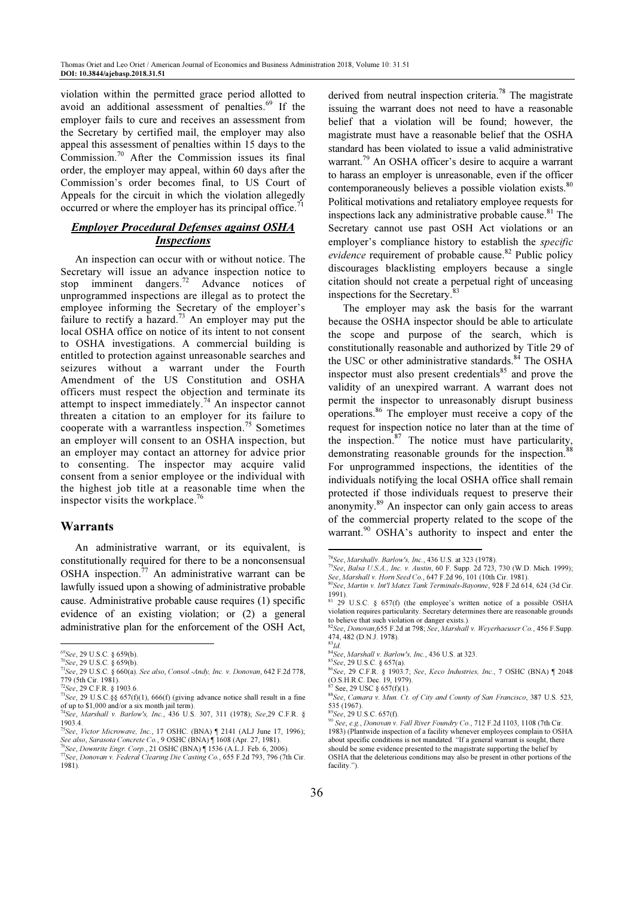violation within the permitted grace period allotted to avoid an additional assessment of penalties.<sup>69</sup> If the employer fails to cure and receives an assessment from the Secretary by certified mail, the employer may also appeal this assessment of penalties within 15 days to the Commission.<sup>70</sup> After the Commission issues its final order, the employer may appeal, within 60 days after the Commission's order becomes final, to US Court of Appeals for the circuit in which the violation allegedly occurred or where the employer has its principal office.<sup>71</sup>

# Employer Procedural Defenses against OSHA **Inspections**

An inspection can occur with or without notice. The Secretary will issue an advance inspection notice to stop imminent dangers.<sup>72</sup> Advance notices of unprogrammed inspections are illegal as to protect the employee informing the Secretary of the employer's failure to rectify a hazard.<sup>73</sup> An employer may put the local OSHA office on notice of its intent to not consent to OSHA investigations. A commercial building is entitled to protection against unreasonable searches and seizures without a warrant under the Fourth Amendment of the US Constitution and OSHA officers must respect the objection and terminate its attempt to inspect immediately.<sup>74</sup> An inspector cannot threaten a citation to an employer for its failure to cooperate with a warrantless inspection.<sup>75</sup> Sometimes an employer will consent to an OSHA inspection, but an employer may contact an attorney for advice prior to consenting. The inspector may acquire valid consent from a senior employee or the individual with the highest job title at a reasonable time when the inspector visits the workplace.<sup>76</sup>

# Warrants

An administrative warrant, or its equivalent, is constitutionally required for there to be a nonconsensual OSHA inspection.<sup>77</sup> An administrative warrant can be lawfully issued upon a showing of administrative probable cause. Administrative probable cause requires (1) specific evidence of an existing violation; or (2) a general administrative plan for the enforcement of the OSH Act, l

derived from neutral inspection criteria.<sup>78</sup> The magistrate issuing the warrant does not need to have a reasonable belief that a violation will be found; however, the magistrate must have a reasonable belief that the OSHA standard has been violated to issue a valid administrative warrant.<sup>79</sup> An OSHA officer's desire to acquire a warrant to harass an employer is unreasonable, even if the officer contemporaneously believes a possible violation exists.<sup>80</sup> Political motivations and retaliatory employee requests for inspections lack any administrative probable cause. $81$  The Secretary cannot use past OSH Act violations or an employer's compliance history to establish the specific evidence requirement of probable cause. $82$  Public policy discourages blacklisting employers because a single citation should not create a perpetual right of unceasing inspections for the Secretary.<sup>83</sup>

The employer may ask the basis for the warrant because the OSHA inspector should be able to articulate the scope and purpose of the search, which is constitutionally reasonable and authorized by Title 29 of the USC or other administrative standards.<sup>84</sup> The OSHA inspector must also present credentials $^{85}$  and prove the validity of an unexpired warrant. A warrant does not permit the inspector to unreasonably disrupt business operations.<sup>86</sup> The employer must receive a copy of the request for inspection notice no later than at the time of the inspection. $87$  The notice must have particularity, demonstrating reasonable grounds for the inspection.<sup>8</sup> For unprogrammed inspections, the identities of the individuals notifying the local OSHA office shall remain protected if those individuals request to preserve their anonymity.<sup>89</sup> An inspector can only gain access to areas of the commercial property related to the scope of the warrant.<sup>90</sup> OSHA's authority to inspect and enter the

<sup>69</sup>See, 29 U.S.C. § 659(b).

<sup>70</sup>See, 29 U.S.C. § 659(b).

 $71$ See, 29 U.S.C. § 660(a). See also, Consol.-Andy, Inc. v. Donovan, 642 F.2d 778, 779 (5th Cir. 1981).

 $72$ See, 29 C.F.R. § 1903.6.

 $^{73}$ See, 29 U.S.C.§§ 657(f)(1), 666(f) (giving advance notice shall result in a fine of up to \$1,000 and/or a six month jail term).

<sup>74</sup>See, Marshall v. Barlow's, Inc., 436 U.S. 307, 311 (1978); See,29 C.F.R. § 1903.4.

<sup>&</sup>lt;sup>75</sup>See, Victor Microwave, Inc., 17 OSHC. (BNA)  $\parallel$  2141 (ALJ June 17, 1996); See also, Sarasota Concrete Co., 9 OSHC (BNA) ¶ 1608 (Apr. 27, 1981).<br><sup>76</sup>See, Downrite Engr. Corp., 21 OSHC (BNA) ¶ 1536 (A.L.J. Feb. 6, 2006).

<sup>77</sup>See, Donovan v. Federal Clearing Die Casting Co., 655 F.2d 793, 796 (7th Cir. 1981).

<sup>78</sup>See, Marshallv. Barlow's, Inc., 436 U.S. at 323 (1978).

 $79$ See, Balsa U.S.A., Inc. v. Austin, 60 F. Supp. 2d 723, 730 (W.D. Mich. 1999); See, Marshall v. Horn Seed Co., 647 F.2d 96, 101 (10th Cir. 1981). <sup>80</sup>See, Martin v. Int'l Matex Tank Terminals-Bayonne, 928 F.2d 614, 624 (3d Cir. 1991).

 $81^{81}$  29 U.S.C. § 657(f) (the employee's written notice of a possible OSHA violation requires particularity. Secretary determines there are reasonable grounds to believe that such violation or danger exists.).

<sup>82</sup>See, Donovan,655 F.2d at 798; See, Marshall v. Weyerhaeuser Co., 456 F.Supp. 474, 482 (D.N.J. 1978).

 $^{83}Id.$ 

<sup>&</sup>lt;sup>84</sup>See, Marshall v. Barlow's, Inc., 436 U.S. at 323.

 ${}^{85}See$ , 29 U.S.C. § 657(a).

 $86$ See, 29 C.F.R. § 1903.7; See, Keco Industries, Inc., 7 OSHC (BNA) ¶ 2048 (O.S.H.R.C. Dec. 19, 1979).

See, 29 USC  $§$  657(f)(1).

<sup>88&</sup>lt;br>See, Camara v. Mun. Ct. of City and County of San Francisco, 387 U.S. 523, 535 (1967).

<sup>89</sup>See, 29 U.S.C. 657(f).

 $90$  See, e.g., Donovan v. Fall River Foundry Co., 712 F.2d 1103, 1108 (7th Cir. 1983) (Plantwide inspection of a facility whenever employees complain to OSHA about specific conditions is not mandated. "If a general warrant is sought, there should be some evidence presented to the magistrate supporting the belief by OSHA that the deleterious conditions may also be present in other portions of the facility.").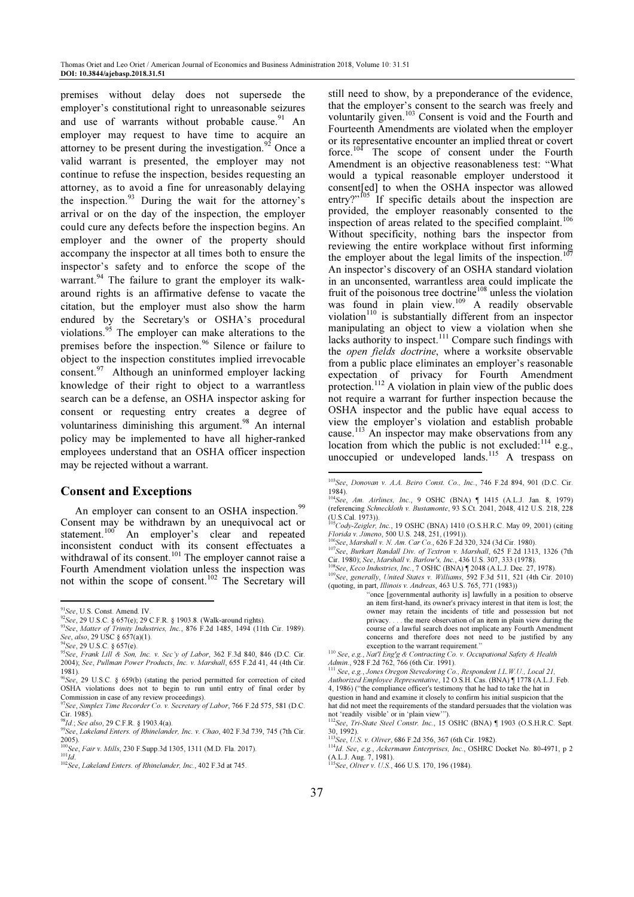premises without delay does not supersede the employer's constitutional right to unreasonable seizures and use of warrants without probable cause.<sup>91</sup> An employer may request to have time to acquire an attorney to be present during the investigation.<sup>92</sup> Once a valid warrant is presented, the employer may not continue to refuse the inspection, besides requesting an attorney, as to avoid a fine for unreasonably delaying the inspection. $^{93}$  During the wait for the attorney's arrival or on the day of the inspection, the employer could cure any defects before the inspection begins. An employer and the owner of the property should accompany the inspector at all times both to ensure the inspector's safety and to enforce the scope of the warrant.<sup>94</sup> The failure to grant the employer its walkaround rights is an affirmative defense to vacate the citation, but the employer must also show the harm endured by the Secretary's or OSHA's procedural violations.<sup>95</sup> The employer can make alterations to the premises before the inspection.<sup>96</sup> Silence or failure to object to the inspection constitutes implied irrevocable consent.<sup>97</sup> Although an uninformed employer lacking knowledge of their right to object to a warrantless search can be a defense, an OSHA inspector asking for consent or requesting entry creates a degree of voluntariness diminishing this argument.<sup>98</sup> An internal policy may be implemented to have all higher-ranked employees understand that an OSHA officer inspection may be rejected without a warrant.

# Consent and Exceptions

An employer can consent to an OSHA inspection.<sup>99</sup> Consent may be withdrawn by an unequivocal act or statement.<sup>100</sup> An employer's clear and repeated inconsistent conduct with its consent effectuates a withdrawal of its consent.<sup>101</sup> The employer cannot raise a Fourth Amendment violation unless the inspection was not within the scope of consent.<sup>102</sup> The Secretary will

l

still need to show, by a preponderance of the evidence, that the employer's consent to the search was freely and voluntarily given.<sup>103</sup> Consent is void and the Fourth and Fourteenth Amendments are violated when the employer or its representative encounter an implied threat or covert force.<sup>104</sup> The scope of consent under the Fourth Amendment is an objective reasonableness test: "What would a typical reasonable employer understood it consent[ed] to when the OSHA inspector was allowed entry?"<sup>105</sup> If specific details about the inspection are provided, the employer reasonably consented to the inspection of areas related to the specified complaint.<sup>106</sup> Without specificity, nothing bars the inspector from reviewing the entire workplace without first informing the employer about the legal limits of the inspection.<sup>1</sup> An inspector's discovery of an OSHA standard violation in an unconsented, warrantless area could implicate the fruit of the poisonous tree doctrine<sup>108</sup> unless the violation was found in plain view.<sup>109</sup> A readily observable violation $110$  is substantially different from an inspector manipulating an object to view a violation when she lacks authority to inspect.<sup>111</sup> Compare such findings with the open fields doctrine, where a worksite observable from a public place eliminates an employer's reasonable expectation of privacy for Fourth Amendment protection.<sup>112</sup> A violation in plain view of the public does not require a warrant for further inspection because the OSHA inspector and the public have equal access to view the employer's violation and establish probable cause.<sup>113</sup> An inspector may make observations from any location from which the public is not excluded: $114$  e.g., unoccupied or undeveloped lands.<sup>115</sup> A trespass on

"once [governmental authority is] lawfully in a position to observe an item first-hand, its owner's privacy interest in that item is lost; the owner may retain the incidents of title and possession but not privacy.... the mere observation of an item in plain view during the  $\epsilon$  the mere observation of an item in plain view during the course of a lawful search does not implicate any Fourth Amendment concerns and therefore does not need to be justified by any exception to the warrant requirement."

 $91$ See, U.S. Const. Amend. IV.

 $^{92}$ See, 29 U.S.C. § 657(e); 29 C.F.R. § 1903.8. (Walk-around rights).

 $^{93}$ See, Matter of Trinity Industries, Inc., 876 F.2d 1485, 1494 (11th Cir. 1989). See, also, 29 USC § 657(a)(1).

<sup>&</sup>lt;sup>94</sup>See, 29 U.S.C. § 657(e).

 $^{95}$ See, Frank Lill & Son, Inc. v. Sec'y of Labor, 362 F.3d 840, 846 (D.C. Cir. 2004); See, Pullman Power Products, Inc. v. Marshall, 655 F.2d 41, 44 (4th Cir.

<sup>1981).&</sup>lt;br><sup>96</sup>See, 29 U.S.C. § 659(b) (stating the period permitted for correction of cited OSHA violations does not to begin to run until entry of final order by Commission in case of any review proceedings).

<sup>97</sup>See, Simplex Time Recorder Co. v. Secretary of Labor, 766 F.2d 575, 581 (D.C. Cir. 1985).<br><sup>98</sup>Id.; See also, 29 C.F.R. § 1903.4(a).

<sup>1</sup>d., See diso, 29 S. A., 3 S. Chao, 3 S. Chao, 402 F.3d 739, 745 (7th Cir. 2005).

 $^{0}$ See, Fair v. Mills, 230 F. Supp. 3d 1305, 1311 (M.D. Fla. 2017).  $^{101}\! \overset{\_}{Id}$ 

<sup>102</sup> See, Lakeland Enters. of Rhinelander, Inc., 402 F.3d at 745.

<sup>103</sup>See, Donovan v. A.A. Beiro Const. Co., Inc., 746 F.2d 894, 901 (D.C. Cir. 1984).

<sup>104</sup>See, Am. Airlines, Inc., 9 OSHC (BNA) ¶ 1415 (A.L.J. Jan. 8, 1979) (referencing Schneckloth v. Bustamonte, 93 S.Ct. 2041, 2048, 412 U.S. 218, 228  $(U.S.Cal. 1973))$ .

 $105$ Cody-Zeigler, Inc., 19 OSHC (BNA) 1410 (O.S.H.R.C. May 09, 2001) (citing Florida v. Jimeno, 500 U.S. 248, 251, (1991)).<br><sup>106</sup>See, Marshall v. N. Am. Car Co., 626 F.2d 320, 324 (3d Cir. 1980).

<sup>&</sup>lt;sup>107</sup>See, Burkart Randall Div. of Textron v. Marshall, 625 F.2d 1313, 1326 (7th Cir. 1980); See, Marshall v. Barlow's, Inc., 436 U.S. 307, 333 (1978).

<sup>108</sup>See, Keco Industries, Inc., 7 OSHC (BNA) ¶ 2048 (A.L.J. Dec. 27, 1978).

<sup>109</sup>See, generally, United States v. Williams, 592 F.3d 511, 521 (4th Cir. 2010) (quoting, in part, Illinois v. Andreas, 463 U.S. 765, 771 (1983))

<sup>110</sup> See, e.g., Nat'l Eng'g & Contracting Co. v. Occupational Safety & Health Admin., 928 F.2d 762, 766 (6th Cir. 1991).

<sup>111</sup> See, e.g., Jones Oregon Stevedoring Co., Respondent I.L.W.U., Local 21,

Authorized Employee Representative, 12 O.S.H. Cas. (BNA) ¶ 1778 (A.L.J. Feb. 4, 1986) ("the compliance officer's testimony that he had to take the hat in

question in hand and examine it closely to confirm his initial suspicion that the

hat did not meet the requirements of the standard persuades that the violation was

not 'readily visible' or in 'plain view'").<br><sup>112</sup>See, Tri-State Steel Constr. Inc., 15 OSHC (BNA) ¶ 1903 (O.S.H.R.C. Sept. 30, 1992).

<sup>113</sup>See, U.S. v. Oliver, 686 F.2d 356, 367 (6th Cir. 1982).

<sup>114</sup>Id. See, e.g., Ackermann Enterprises, Inc., OSHRC Docket No. 80-4971, p 2 (A.L.J. Aug. 7, 1981).<br><sup>115</sup>See, Oliver v. U.S., 466 U.S. 170, 196 (1984).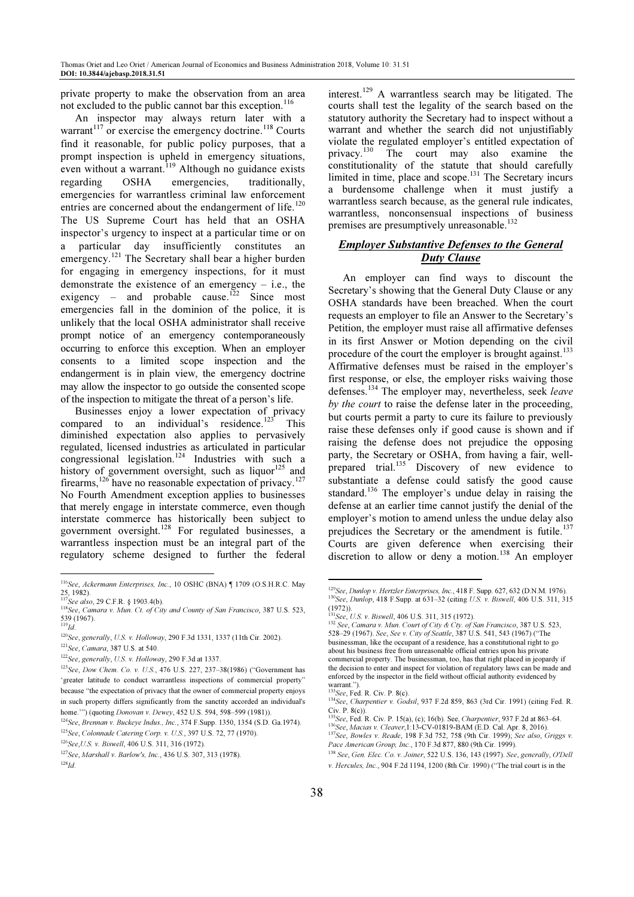private property to make the observation from an area not excluded to the public cannot bar this exception.<sup>116</sup>

An inspector may always return later with a warrant<sup>117</sup> or exercise the emergency doctrine.<sup>118</sup> Courts find it reasonable, for public policy purposes, that a prompt inspection is upheld in emergency situations, even without a warrant.<sup>119</sup> Although no guidance exists regarding  $OSHA$  emergencies, traditionally, regarding OSHA emergencies, traditionally, emergencies for warrantless criminal law enforcement entries are concerned about the endangerment of life.<sup>120</sup> The US Supreme Court has held that an OSHA inspector's urgency to inspect at a particular time or on a particular day insufficiently constitutes an emergency.<sup>121</sup> The Secretary shall bear a higher burden for engaging in emergency inspections, for it must demonstrate the existence of an emergency  $-$  i.e., the exigency – and probable cause.<sup>122</sup> Since most emergencies fall in the dominion of the police, it is unlikely that the local OSHA administrator shall receive prompt notice of an emergency contemporaneously occurring to enforce this exception. When an employer consents to a limited scope inspection and the endangerment is in plain view, the emergency doctrine may allow the inspector to go outside the consented scope of the inspection to mitigate the threat of a person's life.

Businesses enjoy a lower expectation of privacy compared to an individual's residence.<sup>123</sup> This diminished expectation also applies to pervasively regulated, licensed industries as articulated in particular congressional legislation.<sup>124</sup> Industries with such a history of government oversight, such as liquor $125$  and firearms,<sup>126</sup> have no reasonable expectation of privacy.<sup>127</sup> No Fourth Amendment exception applies to businesses that merely engage in interstate commerce, even though interstate commerce has historically been subject to government oversight.<sup>128</sup> For regulated businesses, a warrantless inspection must be an integral part of the regulatory scheme designed to further the federal

L

interest.<sup>129</sup> A warrantless search may be litigated. The courts shall test the legality of the search based on the statutory authority the Secretary had to inspect without a warrant and whether the search did not unjustifiably violate the regulated employer's entitled expectation of privacy.<sup>130</sup> The court may also examine the constitutionality of the statute that should carefully limited in time, place and scope. $131$  The Secretary incurs a burdensome challenge when it must justify a warrantless search because, as the general rule indicates, warrantless, nonconsensual inspections of business premises are presumptively unreasonable.<sup>132</sup>

# Employer Substantive Defenses to the General Duty Clause

An employer can find ways to discount the Secretary's showing that the General Duty Clause or any OSHA standards have been breached. When the court requests an employer to file an Answer to the Secretary's Petition, the employer must raise all affirmative defenses in its first Answer or Motion depending on the civil procedure of the court the employer is brought against.<sup>133</sup> Affirmative defenses must be raised in the employer's first response, or else, the employer risks waiving those defenses.<sup>134</sup> The employer may, nevertheless, seek leave by the court to raise the defense later in the proceeding, but courts permit a party to cure its failure to previously raise these defenses only if good cause is shown and if raising the defense does not prejudice the opposing party, the Secretary or OSHA, from having a fair, wellprepared trial.<sup>135</sup> Discovery of new evidence to substantiate a defense could satisfy the good cause standard.<sup>136</sup> The employer's undue delay in raising the defense at an earlier time cannot justify the denial of the employer's motion to amend unless the undue delay also prejudices the Secretary or the amendment is futile.<sup>137</sup> Courts are given deference when exercising their discretion to allow or deny a motion.<sup>138</sup> An employer

<sup>116</sup>See, Ackermann Enterprises, Inc., 10 OSHC (BNA) ¶ 1709 (O.S.H.R.C. May 25, 1982).<br><sup>117</sup>See also, 29 C.F.R. § 1903.4(b).

 $118$ See, Camara v. Mun. Ct. of City and County of San Francisco, 387 U.S. 523, 539 (1967).<br><sup>119</sup>Id.

<sup>120</sup>See, generally, U.S. v. Holloway, 290 F.3d 1331, 1337 (11th Cir. 2002).

<sup>121</sup>See, Camara, 387 U.S. at 540.

<sup>122</sup>See, generally, U.S. v. Holloway, 290 F.3d at 1337.

<sup>123</sup>See, Dow Chem. Co. v. U.S., 476 U.S. 227, 237–38(1986) ("Government has 'greater latitude to conduct warrantless inspections of commercial property" because "the expectation of privacy that the owner of commercial property enjoys in such property differs significantly from the sanctity accorded an individual's home.'") (quoting Donovan v. Dewey, 452 U.S. 594, 598–599 (1981)).

<sup>124</sup>See, Brennan v. Buckeye Indus., Inc., 374 F.Supp. 1350, 1354 (S.D. Ga.1974).

<sup>125</sup>See, Colonnade Catering Corp. v. U.S., 397 U.S. 72, 77 (1970).

<sup>126</sup>See,U.S. v. Biswell, 406 U.S. 311, 316 (1972).

<sup>127</sup>See, Marshall v. Barlow's, Inc., 436 U.S. 307, 313 (1978).

 $^{128}Id.$ 

<sup>129</sup>See, Dunlop v. Hertzler Enterprises, Inc., 418 F. Supp. 627, 632 (D.N.M. 1976).  $130$ See, Dunlop, 418 F.Supp. at 631–32 (citing U.S. v. Biswell, 406 U.S. 311, 315)

<sup>(1972)).&</sup>lt;br><sup>131</sup>See, U.S. v. Biswell, 406 U.S. 311, 315 (1972).

<sup>132</sup> See, C.S. v. Biswell, 400 S.D. 211, 212 (212).<br><sup>132</sup> See, Camara v. Mun. Court of City & Cty. of San Francisco, 387 U.S. 523, 528–29 (1967). See, See v. City of Seattle, 387 U.S. 541, 543 (1967) ("The businessman, like the occupant of a residence, has a constitutional right to go about his business free from unreasonable official entries upon his private commercial property. The businessman, too, has that right placed in jeopardy if the decision to enter and inspect for violation of regulatory laws can be made and enforced by the inspector in the field without official authority evidenced by warrant.").

 $33$ See, Fed. R. Civ. P.  $8(c)$ .

<sup>134</sup> See, Charpentier v. Godsil, 937 F.2d 859, 863 (3rd Cir. 1991) (citing Fed. R.

Civ. P. 8(c)).<br><sup>135</sup>See, Fed. R. Civ. P. 15(a), (c); 16(b). See, *Charpentier*, 937 F.2d at 863–64.  $^{136}$ See, Macias v. Cleaver, 1:13-CV-01819-BAM (E.D. Cal. Apr. 8, 2016).

<sup>137</sup> See, Bowles v. Reade, 198 F.3d 752, 758 (9th Cir. 1999); See also, Griggs v. Pace American Group, Inc., 170 F.3d 877, 880 (9th Cir. 1999).

<sup>138</sup> See, Gen. Elec. Co. v. Joiner, 522 U.S. 136, 143 (1997). See, generally, O'Dell v. Hercules, Inc., 904 F.2d 1194, 1200 (8th Cir. 1990) ("The trial court is in the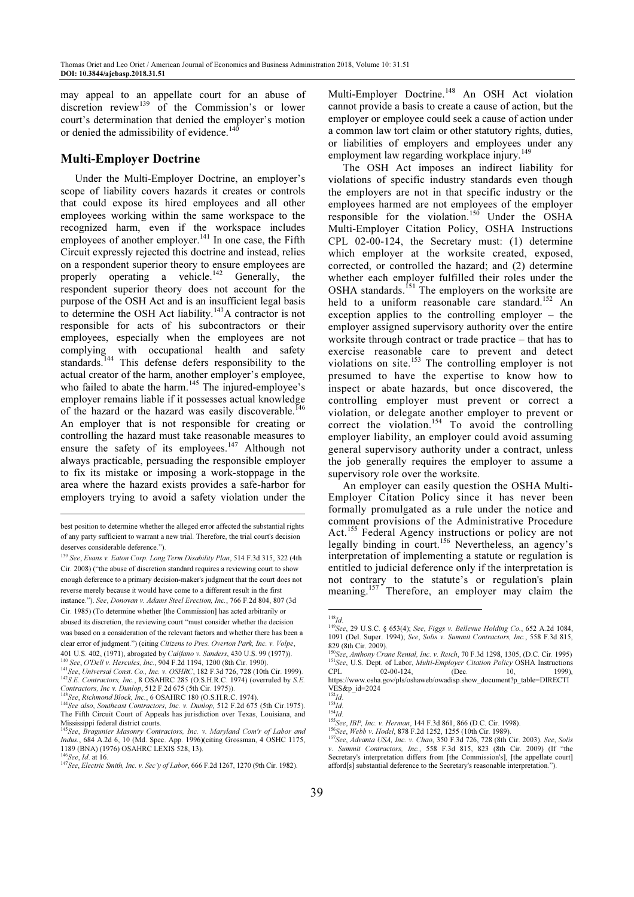may appeal to an appellate court for an abuse of discretion review<sup>139</sup> of the Commission's or lower court's determination that denied the employer's motion or denied the admissibility of evidence.<sup>14</sup>

## Multi-Employer Doctrine

Under the Multi-Employer Doctrine, an employer's scope of liability covers hazards it creates or controls that could expose its hired employees and all other employees working within the same workspace to the recognized harm, even if the workspace includes employees of another employer.<sup>141</sup> In one case, the Fifth Circuit expressly rejected this doctrine and instead, relies on a respondent superior theory to ensure employees are properly operating a vehicle.<sup>142</sup> Generally, the respondent superior theory does not account for the purpose of the OSH Act and is an insufficient legal basis to determine the OSH Act liability.<sup>143</sup>A contractor is not responsible for acts of his subcontractors or their employees, especially when the employees are not complying with occupational health and safety standards.<sup>144</sup> This defense defers responsibility to the actual creator of the harm, another employer's employee, who failed to abate the harm.<sup>145</sup> The injured-employee's employer remains liable if it possesses actual knowledge of the hazard or the hazard was easily discoverable.<sup>146</sup> An employer that is not responsible for creating or controlling the hazard must take reasonable measures to ensure the safety of its employees.<sup>147</sup> Although not always practicable, persuading the responsible employer

to fix its mistake or imposing a work-stoppage in the area where the hazard exists provides a safe-harbor for employers trying to avoid a safety violation under the .

Cir. 1985) (To determine whether [the Commission] has acted arbitrarily or abused its discretion, the reviewing court "must consider whether the decision was based on a consideration of the relevant factors and whether there has been a clear error of judgment.") (citing Citizens to Pres. Overton Park, Inc. v. Volpe, 401 U.S. 402, (1971), abrogated by Califano v. Sanders, 430 U.S. 99 (1977)). <sup>0</sup> See, O'Dell v. Hercules, Inc., 904 F.2d 1194, 1200 (8th Cir. 1990).

<sup>143</sup>See, Richmond Block, Inc., 6 OSAHRC 180 (O.S.H.R.C. 1974).

Multi-Employer Doctrine.<sup>148</sup> An OSH Act violation cannot provide a basis to create a cause of action, but the employer or employee could seek a cause of action under a common law tort claim or other statutory rights, duties, or liabilities of employers and employees under any employment law regarding workplace injury.<sup>149</sup>

The OSH Act imposes an indirect liability for violations of specific industry standards even though the employers are not in that specific industry or the employees harmed are not employees of the employer responsible for the violation.<sup>150</sup> Under the OSHA Multi-Employer Citation Policy, OSHA Instructions CPL 02-00-124, the Secretary must: (1) determine which employer at the worksite created, exposed, corrected, or controlled the hazard; and (2) determine whether each employer fulfilled their roles under the OSHA standards. $<sup>151</sup>$  The employers on the worksite are</sup> held to a uniform reasonable care standard.<sup>152</sup> An exception applies to the controlling employer – the employer assigned supervisory authority over the entire worksite through contract or trade practice – that has to exercise reasonable care to prevent and detect violations on site.<sup>153</sup> The controlling employer is not presumed to have the expertise to know how to inspect or abate hazards, but once discovered, the controlling employer must prevent or correct a violation, or delegate another employer to prevent or correct the violation.<sup>154</sup> To avoid the controlling employer liability, an employer could avoid assuming general supervisory authority under a contract, unless the job generally requires the employer to assume a supervisory role over the worksite.

An employer can easily question the OSHA Multi-Employer Citation Policy since it has never been formally promulgated as a rule under the notice and comment provisions of the Administrative Procedure Act.<sup>155</sup> Federal Agency instructions or policy are not legally binding in court.<sup>156</sup> Nevertheless, an agency's interpretation of implementing a statute or regulation is entitled to judicial deference only if the interpretation is not contrary to the statute's or regulation's plain meaning.<sup>157</sup> Therefore, an employer may claim the

best position to determine whether the alleged error affected the substantial rights of any party sufficient to warrant a new trial. Therefore, the trial court's decision deserves considerable deference.").

<sup>139</sup> See, Evans v. Eaton Corp. Long Term Disability Plan, 514 F.3d 315, 322 (4th Cir. 2008) ("the abuse of discretion standard requires a reviewing court to show enough deference to a primary decision-maker's judgment that the court does not reverse merely because it would have come to a different result in the first instance."). See, Donovan v. Adams Steel Erection, Inc., 766 F.2d 804, 807 (3d

<sup>141</sup>See, Universal Const. Co., Inc. v. OSHRC, 182 F.3d 726, 728 (10th Cir. 1999).  $142$ S.E. Contractors, Inc., 8 OSAHRC 285 (O.S.H.R.C. 1974) (overruled by S.E. Contractors, Inc v. Dunlop, 512 F.2d 675 (5th Cir. 1975)).

<sup>&</sup>lt;sup>144</sup>See also, Southeast Contractors, Inc. v. Dunlop, 512 F.2d 675 (5th Cir.1975). The Fifth Circuit Court of Appeals has jurisdiction over Texas, Louisiana, and Mississippi federal district courts.

<sup>145</sup>See, Bragunier Masonry Contractors, Inc. v. Maryland Com'r of Labor and Indus., 684 A.2d 6, 10 (Md. Spec. App. 1996)(citing Grossman, 4 OSHC 1175, 1189 (BNA) (1976) OSAHRC LEXIS 528, 13). <sup>146</sup>See, Id. at 16.

<sup>147</sup>See, Electric Smith, Inc. v. Sec'y of Labor, 666 F.2d 1267, 1270 (9th Cir. 1982).

l  $148$ Id.

<sup>149</sup>See, 29 U.S.C. § 653(4); See, Figgs v. Bellevue Holding Co., 652 A.2d 1084, 1091 (Del. Super. 1994); See, Solis v. Summit Contractors, Inc., 558 F.3d 815, 829 (8th Cir. 2009).

<sup>&</sup>lt;sup>50</sup>See, Anthony Crane Rental, Inc. v. Reich, 70 F.3d 1298, 1305, (D.C. Cir. 1995) 151See, U.S. Dept. of Labor, *Multi-Employer Citation Policy* OSHA Instructions<br>CPL 02-00-124, (Dec. 10, 1999), CPL 02-00-124, (Dec. 10, 1999), https://www.osha.gov/pls/oshaweb/owadisp.show\_document?p\_table=DIRECTI VES&p\_id=2024

 $^{152}$ Id.

 $^{153}$ Id.

 $^{154}\!Id.$ 

<sup>155</sup> See, IBP, Inc. v. Herman, 144 F.3d 861, 866 (D.C. Cir. 1998).

<sup>156</sup> See, Webb v. Hodel, 878 F.2d 1252, 1255 (10th Cir. 1989). <sup>157</sup>See, Advanta USA, Inc. v. Chao, 350 F.3d 726, 728 (8th Cir. 2003). See, Solis

v. Summit Contractors, Inc., 558 F.3d 815, 823 (8th Cir. 2009) (If "the Secretary's interpretation differs from [the Commission's], [the appellate court] afford[s] substantial deference to the Secretary's reasonable interpretation.").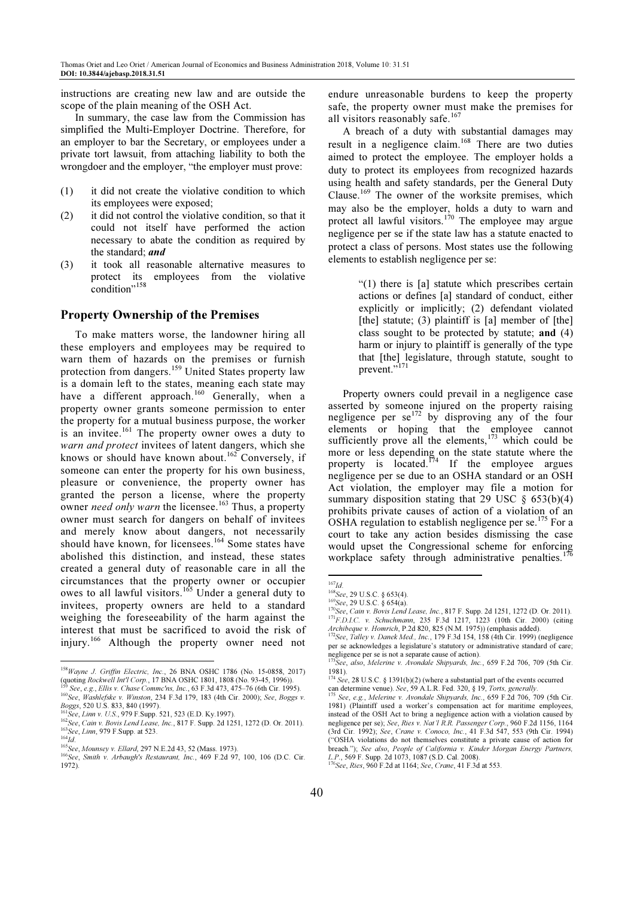instructions are creating new law and are outside the scope of the plain meaning of the OSH Act.

In summary, the case law from the Commission has simplified the Multi-Employer Doctrine. Therefore, for an employer to bar the Secretary, or employees under a private tort lawsuit, from attaching liability to both the wrongdoer and the employer, "the employer must prove:

- (1) it did not create the violative condition to which its employees were exposed;
- (2) it did not control the violative condition, so that it could not itself have performed the action necessary to abate the condition as required by the standard; and
- (3) it took all reasonable alternative measures to protect its employees from the violative condition"<sup>158</sup>

#### Property Ownership of the Premises

To make matters worse, the landowner hiring all these employers and employees may be required to warn them of hazards on the premises or furnish protection from dangers.<sup>159</sup> United States property law is a domain left to the states, meaning each state may have a different approach.<sup>160</sup> Generally, when a property owner grants someone permission to enter the property for a mutual business purpose, the worker is an invitee.<sup>161</sup> The property owner owes a duty to warn and protect invitees of latent dangers, which she knows or should have known about.<sup>162</sup> Conversely, if someone can enter the property for his own business, pleasure or convenience, the property owner has granted the person a license, where the property owner *need only warn* the licensee.<sup>163</sup> Thus, a property owner must search for dangers on behalf of invitees and merely know about dangers, not necessarily should have known, for licensees.<sup>164</sup> Some states have abolished this distinction, and instead, these states created a general duty of reasonable care in all the circumstances that the property owner or occupier owes to all lawful visitors.<sup>165</sup> Under a general duty to invitees, property owners are held to a standard weighing the foreseeability of the harm against the interest that must be sacrificed to avoid the risk of injury.<sup>166</sup> Although the property owner need not

L

endure unreasonable burdens to keep the property safe, the property owner must make the premises for all visitors reasonably safe.<sup>167</sup>

A breach of a duty with substantial damages may result in a negligence claim.<sup>168</sup> There are two duties aimed to protect the employee. The employer holds a duty to protect its employees from recognized hazards using health and safety standards, per the General Duty Clause.<sup>169</sup> The owner of the worksite premises, which may also be the employer, holds a duty to warn and protect all lawful visitors.<sup>170</sup> The employee may argue negligence per se if the state law has a statute enacted to protect a class of persons. Most states use the following elements to establish negligence per se:

> "(1) there is [a] statute which prescribes certain actions or defines [a] standard of conduct, either explicitly or implicitly; (2) defendant violated [the] statute; (3) plaintiff is  $[a]$  member of  $[the]$ class sought to be protected by statute; and (4) harm or injury to plaintiff is generally of the type that [the] legislature, through statute, sought to prevent."<sup>171</sup>

Property owners could prevail in a negligence case asserted by someone injured on the property raising negligence per se<sup>172</sup> by disproving any of the four elements or hoping that the employee cannot sufficiently prove all the elements,<sup>173</sup> which could be more or less depending on the state statute where the property is located.<sup> $174$ </sup> If the employee argues negligence per se due to an OSHA standard or an OSH Act violation, the employer may file a motion for summary disposition stating that 29 USC  $\delta$  653(b)(4) prohibits private causes of action of a violation of an OSHA regulation to establish negligence per se.<sup>175</sup> For a court to take any action besides dismissing the case would upset the Congressional scheme for enforcing workplace safety through administrative penalties.<sup>1</sup>

<sup>158</sup> Wayne J. Griffin Electric, Inc., 26 BNA OSHC 1786 (No. 15-0858, 2017) (quoting Rockwell Int'l Corp., 17 BNA OSHC 1801, 1808 (No. 93-45, 1996)).

See, e.g., Ellis v. Chase Commc'ns, Inc., 63 F.3d 473, 475–76 (6th Cir. 1995). 160 See, Washlefske v. Winston, 234 F.3d 179, 183 (4th Cir. 2000); See, Boggs v. Boggs, 520 U.S. 833, 840 (1997).

<sup>161</sup>See, Linn v. U.S., 979 F.Supp. 521, 523 (E.D. Ky.1997).

 $162$  See, Cain v. Bovis Lend Lease, Inc., 817 F. Supp. 2d 1251, 1272 (D. Or. 2011). 163 See, *Linn*, 979 F. Supp. at 523.

 $^{164}$ Id.

<sup>165&</sup>lt;br>
165See, Mounsey v. Ellard, 297 N.E.2d 43, 52 (Mass. 1973).

<sup>166</sup> See, Smith v. Arbaugh's Restaurant, Inc., 469 F.2d 97, 100, 106 (D.C. Cir. 1972).

 $167$ Id.

<sup>168</sup> See, 29 U.S.C. § 653(4).

<sup>169</sup>See, 29 U.S.C. § 654(a).

<sup>170</sup> See, Cain v. Bovis Lend Lease, Inc., 817 F. Supp. 2d 1251, 1272 (D. Or. 2011). 171 F.D.I.C. v. Schuchmann, 235 F.3d 1217, 1223 (10th Cir. 2000) (citing Archibeque v. Homrich, P.2d 820, 825 (N.M. 1975)) (emphasis added).

 $172$ See, Talley v. Danek Med., Inc., 179 F.3d 154, 158 (4th Cir. 1999) (negligence per se acknowledges a legislature's statutory or administrative standard of care;

negligence per se is not a separate cause of action).<br><sup>173</sup>See, also, Melerine v. Avondale Shipyards, Inc., 659 F.2d 706, 709 (5th Cir. 1981).<br><sup>174</sup> See, 28 U.S.C. § 1391(b)(2) (where a substantial part of the events occurred

can determine venue). See, 59 A.L.R. Fed. 320, § 19, Torts, generally.  $175$  See, e.g., Melerine v. Avondale Shipyards, Inc., 659 F.2d 706, 709 (5th Cir.

<sup>1981) (</sup>Plaintiff used a worker's compensation act for maritime employees, instead of the OSH Act to bring a negligence action with a violation caused by negligence per se); See, Ries v. Nat'l R.R. Passenger Corp., 960 F.2d 1156, 1164 (3rd Cir. 1992); See, Crane v. Conoco, Inc., 41 F.3d 547, 553 (9th Cir. 1994) ("OSHA violations do not themselves constitute a private cause of action for breach."); See also, People of California v. Kinder Morgan Energy Partners, L.P., 569 F. Supp. 2d 1073, 1087 (S.D. Cal. 2008).<br><sup>176</sup>See, Ries, 960 F.2d at 1164; See, Crane, 41 F.3d at 553.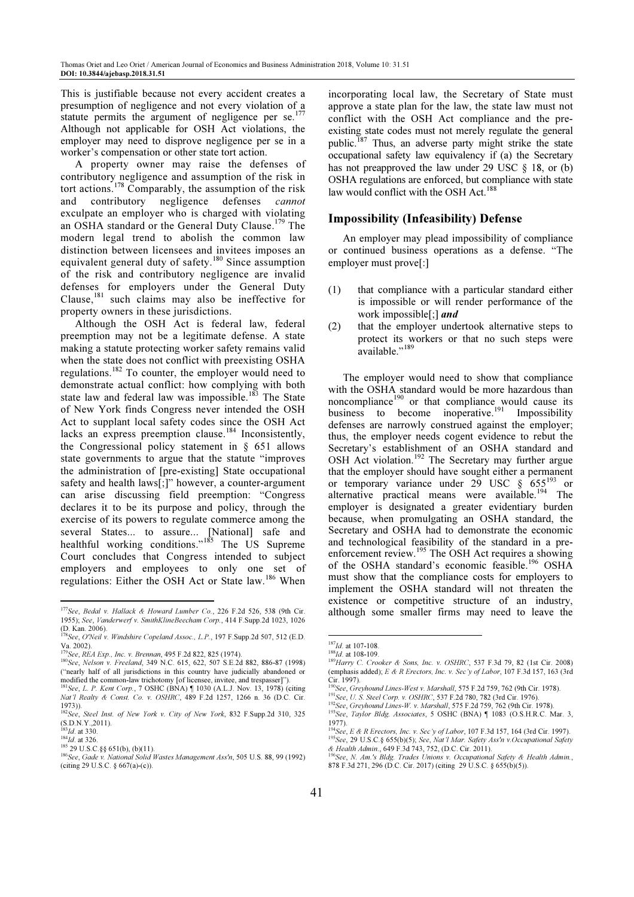This is justifiable because not every accident creates a presumption of negligence and not every violation of a statute permits the argument of negligence per se.<sup>17</sup> Although not applicable for OSH Act violations, the employer may need to disprove negligence per se in a worker's compensation or other state tort action.

A property owner may raise the defenses of contributory negligence and assumption of the risk in tort actions.<sup>178</sup> Comparably, the assumption of the risk and contributory negligence defenses cannot exculpate an employer who is charged with violating an OSHA standard or the General Duty Clause.<sup>179</sup> The modern legal trend to abolish the common law distinction between licensees and invitees imposes an equivalent general duty of safety.<sup>180</sup> Since assumption of the risk and contributory negligence are invalid defenses for employers under the General Duty Clause, $^{181}$  such claims may also be ineffective for property owners in these jurisdictions.

Although the OSH Act is federal law, federal preemption may not be a legitimate defense. A state making a statute protecting worker safety remains valid when the state does not conflict with preexisting OSHA regulations.<sup>182</sup> To counter, the employer would need to demonstrate actual conflict: how complying with both state law and federal law was impossible.<sup>183</sup> The State of New York finds Congress never intended the OSH Act to supplant local safety codes since the OSH Act lacks an express preemption clause.<sup>184</sup> Inconsistently, the Congressional policy statement in § 651 allows state governments to argue that the statute "improves the administration of [pre-existing] State occupational safety and health laws[;]" however, a counter-argument can arise discussing field preemption: "Congress declares it to be its purpose and policy, through the exercise of its powers to regulate commerce among the several States... to assure... [National] safe and healthful working conditions."<sup>185</sup> The US Supreme Court concludes that Congress intended to subject employers and employees to only one set of regulations: Either the OSH Act or State law.<sup>186</sup> When

l

incorporating local law, the Secretary of State must approve a state plan for the law, the state law must not conflict with the OSH Act compliance and the preexisting state codes must not merely regulate the general public.<sup>187</sup> Thus, an adverse party might strike the state occupational safety law equivalency if (a) the Secretary has not preapproved the law under 29 USC  $\&$  18, or (b) OSHA regulations are enforced, but compliance with state law would conflict with the OSH Act.<sup>188</sup>

## Impossibility (Infeasibility) Defense

An employer may plead impossibility of compliance or continued business operations as a defense. "The employer must prove[:]

- (1) that compliance with a particular standard either is impossible or will render performance of the work impossible[;] and
- (2) that the employer undertook alternative steps to protect its workers or that no such steps were available."<sup>189</sup>

The employer would need to show that compliance with the OSHA standard would be more hazardous than noncompliance<sup>190</sup> or that compliance would cause its business to become inoperative.<sup>191</sup> Impossibility defenses are narrowly construed against the employer; thus, the employer needs cogent evidence to rebut the Secretary's establishment of an OSHA standard and OSH Act violation.<sup>192</sup> The Secretary may further argue that the employer should have sought either a permanent or temporary variance under  $29$  USC  $\frac{655^{193}}{9}$  or alternative practical means were available.<sup>194</sup> The employer is designated a greater evidentiary burden because, when promulgating an OSHA standard, the Secretary and OSHA had to demonstrate the economic and technological feasibility of the standard in a preenforcement review.<sup>195</sup> The OSH Act requires a showing of the OSHA standard's economic feasible.<sup>196</sup> OSHA must show that the compliance costs for employers to implement the OSHA standard will not threaten the existence or competitive structure of an industry, although some smaller firms may need to leave the

 $177$ See, Bedal v. Hallack & Howard Lumber Co., 226 F.2d 526, 538 (9th Cir. 1955); See, Vanderwerf v. SmithKlineBeecham Corp., 414 F.Supp.2d 1023, 1026 (D. Kan. 2006).<br><sup>178</sup>See, O'Neil v. *Windshire Copeland Assoc., L.P.*, 197 F.Supp.2d 507, 512 (E.D.

Va. 2002).

<sup>&</sup>lt;sup>79</sup>See, REA Exp., Inc. v. Brennan, 495 F.2d 822, 825 (1974).

<sup>180</sup> See, Nelson v. Freeland, 349 N.C. 615, 622, 507 S.E.2d 882, 886-87 (1998) ("nearly half of all jurisdictions in this country have judicially abandoned or modified the common-law trichotomy [of licensee, invitee, and trespasser]").

<sup>181</sup> See, L. P. Kent Corp., 7 OSHC (BNA) | 1030 (A.L.J. Nov. 13, 1978) (citing Nat'l Realty & Const. Co. v. OSHRC, 489 F.2d 1257, 1266 n. 36 (D.C. Cir. 1973)).

<sup>182</sup>See, Steel Inst. of New York v. City of New York, 832 F.Supp.2d 310, 325 (S.D.N.Y.,2011).<br><sup>183</sup>*Id.* at 330.

 $^{184}$ Id. at 326.

 $185$  29 U.S.C. 88 651(b), (b)(11).

<sup>186</sup>See, Gade v. National Solid Wastes Management Ass'n, 505 U.S. 88, 99 (1992) (citing 29 U.S.C. § 667(a)-(c)).

<sup>187</sup> $Id$ . at 107-108.  $188$ Id. at 108-109.

<sup>189</sup>Harry C. Crooker & Sons, Inc. v. OSHRC, 537 F.3d 79, 82 (1st Cir. 2008) (emphasis added); E & R Erectors, Inc. v. Sec'y of Labor, 107 F.3d 157, 163 (3rd Cir. 1997).

<sup>190</sup>See, Greyhound Lines-West v. Marshall, 575 F.2d 759, 762 (9th Cir. 1978). <sup>191</sup>See, U. S. Steel Corp. v. OSHRC, 537 F.2d 780, 782 (3rd Cir. 1976).

<sup>&</sup>lt;sup>192</sup>See, Greyhound Lines-W. v. Marshall, 575 F.2d 759, 762 (9th Cir. 1978).

<sup>&</sup>lt;sup>193</sup>See, Taylor Bldg. Associates, 5 OSHC (BNA) [1083 (O.S.H.R.C. Mar. 3, 1977).

<sup>&</sup>lt;sup>194</sup>See, E & R Erectors, Inc. v. Sec'y of Labor, 107 F.3d 157, 164 (3rd Cir. 1997). <sup>195</sup>See, 29 U.S.C.§ 655(b)(5); See, Nat'l Mar. Safety Ass'n v.Occupational Safety

<sup>&</sup>amp; Health Admin., 649 F.3d 743, 752, (D.C. Cir. 2011).<br><sup>196</sup>See, N. Am.'s Bldg. *Trades Unions v. Occupational Safety & Health Admin.*, 878 F.3d 271, 296 (D.C. Cir. 2017) (citing 29 U.S.C. § 655(b)(5)).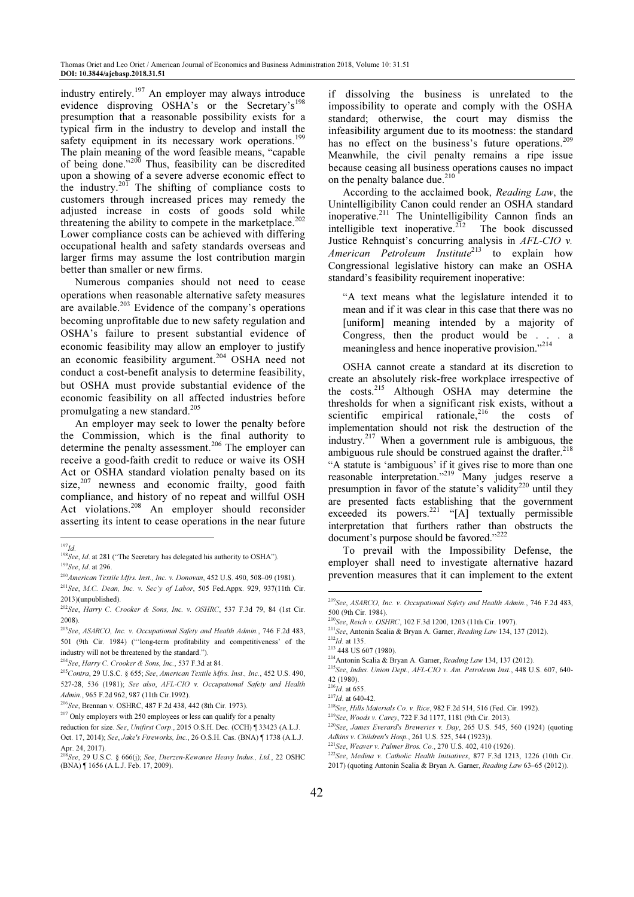industry entirely.<sup>197</sup> An employer may always introduce evidence disproving OSHA's or the Secretary's<sup>1</sup> presumption that a reasonable possibility exists for a typical firm in the industry to develop and install the safety equipment in its necessary work operations.<sup>19</sup> The plain meaning of the word feasible means, "capable of being done."<sup>200</sup> Thus, feasibility can be discredited upon a showing of a severe adverse economic effect to the industry.<sup>201</sup> The shifting of compliance costs to customers through increased prices may remedy the adjusted increase in costs of goods sold while threatening the ability to compete in the marketplace.<sup>20</sup> Lower compliance costs can be achieved with differing occupational health and safety standards overseas and larger firms may assume the lost contribution margin better than smaller or new firms.

Numerous companies should not need to cease operations when reasonable alternative safety measures are available.<sup>203</sup> Evidence of the company's operations becoming unprofitable due to new safety regulation and OSHA's failure to present substantial evidence of economic feasibility may allow an employer to justify an economic feasibility argument.<sup>204</sup> OSHA need not conduct a cost-benefit analysis to determine feasibility, but OSHA must provide substantial evidence of the economic feasibility on all affected industries before promulgating a new standard.<sup>205</sup>

An employer may seek to lower the penalty before the Commission, which is the final authority to determine the penalty assessment.<sup>206</sup> The employer can receive a good-faith credit to reduce or waive its OSH Act or OSHA standard violation penalty based on its size, $207$  newness and economic frailty, good faith compliance, and history of no repeat and willful OSH Act violations.<sup>208</sup> An employer should reconsider asserting its intent to cease operations in the near future

<sup>203</sup>See, ASARCO, Inc. v. Occupational Safety and Health Admin., 746 F.2d 483, 501 (9th Cir. 1984) ("'long-term profitability and competitiveness' of the industry will not be threatened by the standard.").

 $205$ Contra, 29 U.S.C. § 655; See, American Textile Mfrs. Inst., Inc., 452 U.S. 490, 527-28, 536 (1981); See also, AFL-CIO v. Occupational Safety and Health Admin., 965 F.2d 962, 987 (11th Cir.1992).

if dissolving the business is unrelated to the impossibility to operate and comply with the OSHA standard; otherwise, the court may dismiss the infeasibility argument due to its mootness: the standard has no effect on the business's future operations.<sup>209</sup> Meanwhile, the civil penalty remains a ripe issue because ceasing all business operations causes no impact on the penalty balance due. $210$ 

According to the acclaimed book, Reading Law, the Unintelligibility Canon could render an OSHA standard inoperative.<sup>211</sup> The Unintelligibility Cannon finds an intelligible text inoperative.<sup> $212$ </sup> The book discussed Justice Rehnquist's concurring analysis in AFL-CIO v. American Petroleum Institute<sup>213</sup> to explain how Congressional legislative history can make an OSHA standard's feasibility requirement inoperative:

"A text means what the legislature intended it to mean and if it was clear in this case that there was no [uniform] meaning intended by a majority of Congress, then the product would be . . . a meaningless and hence inoperative provision."<sup>214</sup>

OSHA cannot create a standard at its discretion to create an absolutely risk-free workplace irrespective of the costs.<sup>215</sup> Although OSHA may determine the thresholds for when a significant risk exists, without a scientific empirical rationale,<sup>216</sup> the costs of implementation should not risk the destruction of the industry.<sup>217</sup> When a government rule is ambiguous, the ambiguous rule should be construed against the drafter.<sup>218</sup> "A statute is 'ambiguous' if it gives rise to more than one reasonable interpretation."<sup>219</sup> Many judges reserve a presumption in favor of the statute's validity<sup>220</sup> until they are presented facts establishing that the government exceeded its powers.<sup>221</sup> "[A] textually permissible interpretation that furthers rather than obstructs the document's purpose should be favored."<sup>222</sup>

To prevail with the Impossibility Defense, the employer shall need to investigate alternative hazard prevention measures that it can implement to the extent

<sup>211</sup>See, Antonin Scalia & Bryan A. Garner, Reading Law 134, 137 (2012).

<sup>214</sup>Antonin Scalia & Bryan A. Garner, Reading Law 134, 137 (2012).

l

- <sup>218</sup>See, Hills Materials Co. v. Rice, 982 F.2d 514, 516 (Fed. Cir. 1992).
- <sup>219</sup>See, Woods v. Carey, 722 F.3d 1177, 1181 (9th Cir. 2013).

<sup>220</sup>See, James Everard's Breweries v. Day, 265 U.S. 545, 560 (1924) (quoting Adkins v. Children's Hosp., 261 U.S. 525, 544 (1923)).

l  $^{197}$ Id.

 $198$  See, *Id.* at 281 ("The Secretary has delegated his authority to OSHA").  $199$ See, *Id.* at 296.

<sup>200</sup>American Textile Mfrs. Inst., Inc. v. Donovan, 452 U.S. 490, 508–09 (1981). <sup>201</sup>See, M.C. Dean, Inc. v. Sec'y of Labor, 505 Fed.Appx. 929, 937(11th Cir. 2013)(unpublished).

<sup>202</sup>See, Harry C. Crooker & Sons, Inc. v. OSHRC, 537 F.3d 79, 84 (1st Cir. 2008).

<sup>204</sup>See, Harry C. Crooker & Sons, Inc., 537 F.3d at 84.

<sup>206</sup>See, Brennan v. OSHRC, 487 F.2d 438, 442 (8th Cir. 1973).

 $207$  Only employers with 250 employees or less can qualify for a penalty

reduction for size. See, Unifirst Corp., 2015 O.S.H. Dec. (CCH) ¶ 33423 (A.L.J. Oct. 17, 2014); See, Jake's Fireworks, Inc., 26 O.S.H. Cas. (BNA) ¶ 1738 (A.L.J.

Apr. 24, 2017).<br><sup>208</sup>See, 29 U.S.C. § 666(j); See, Dierzen-Kewanee Heavy Indus., Ltd., 22 OSHC (BNA) ¶ 1656 (A.L.J. Feb. 17, 2009).

<sup>209</sup>See, ASARCO, Inc. v. Occupational Safety and Health Admin., 746 F.2d 483, 500 (9th Cir. 1984).

<sup>210</sup>See, Reich v. OSHRC, 102 F.3d 1200, 1203 (11th Cir. 1997).

 $^{212}$ Id. at 135.

<sup>213</sup> 448 US 607 (1980).

<sup>215</sup>See, Indus. Union Dept., AFL-CIO v. Am. Petroleum Inst., 448 U.S. 607, 640- 42 (1980).

 $^{216}$ *Id.* at 655.

 $^{217}$ Id. at 640-42.

<sup>221</sup>See, Weaver v. Palmer Bros. Co., 270 U.S. 402, 410 (1926).

<sup>222</sup>See, Medina v. Catholic Health Initiatives, 877 F.3d 1213, 1226 (10th Cir. 2017) (quoting Antonin Scalia & Bryan A. Garner, Reading Law 63–65 (2012)).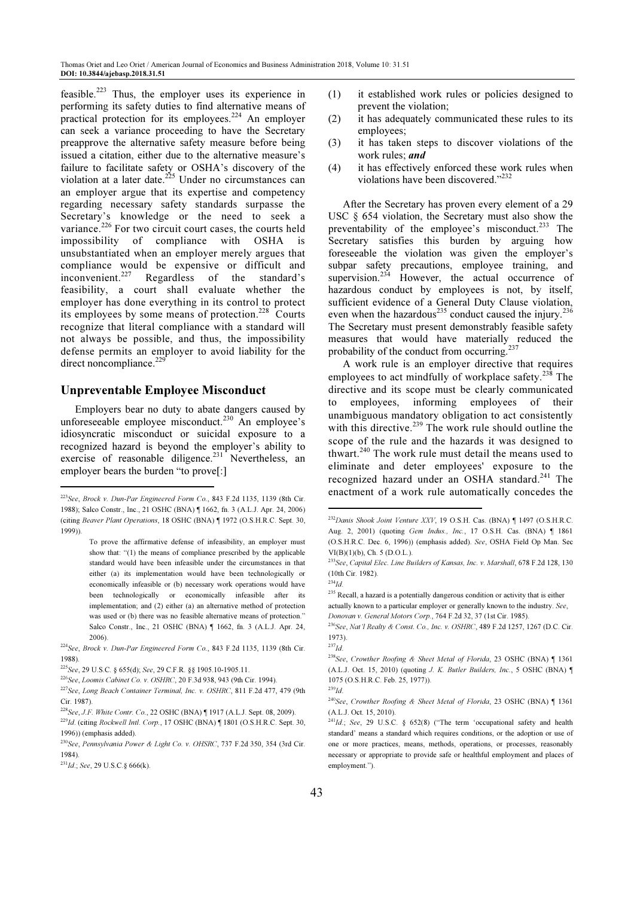feasible.<sup>223</sup> Thus, the employer uses its experience in performing its safety duties to find alternative means of practical protection for its employees.<sup>224</sup> An employer can seek a variance proceeding to have the Secretary preapprove the alternative safety measure before being issued a citation, either due to the alternative measure's failure to facilitate safety or OSHA's discovery of the violation at a later date.<sup>225</sup> Under no circumstances can an employer argue that its expertise and competency regarding necessary safety standards surpasse the Secretary's knowledge or the need to seek a variance.<sup>226</sup> For two circuit court cases, the courts held impossibility of compliance with OSHA is unsubstantiated when an employer merely argues that compliance would be expensive or difficult and inconvenient.<sup>227</sup> Regardless of the standard's feasibility, a court shall evaluate whether the employer has done everything in its control to protect its employees by some means of protection.<sup>228</sup> Courts recognize that literal compliance with a standard will not always be possible, and thus, the impossibility defense permits an employer to avoid liability for the direct noncompliance.<sup>229</sup>

# Unpreventable Employee Misconduct

Employers bear no duty to abate dangers caused by unforeseeable employee misconduct.<sup>230</sup> An employee's idiosyncratic misconduct or suicidal exposure to a recognized hazard is beyond the employer's ability to exercise of reasonable diligence.<sup>231</sup> Nevertheless, an employer bears the burden "to prove[:]

L

- (1) it established work rules or policies designed to prevent the violation;
- (2) it has adequately communicated these rules to its employees;
- (3) it has taken steps to discover violations of the work rules; and
- (4) it has effectively enforced these work rules when violations have been discovered."<sup>232</sup>

After the Secretary has proven every element of a 29 USC § 654 violation, the Secretary must also show the preventability of the employee's misconduct.<sup>233</sup> The Secretary satisfies this burden by arguing how foreseeable the violation was given the employer's subpar safety precautions, employee training, and supervision.<sup>234</sup> However, the actual occurrence of hazardous conduct by employees is not, by itself, sufficient evidence of a General Duty Clause violation, even when the hazardous<sup>235</sup> conduct caused the injury.<sup>236</sup> The Secretary must present demonstrably feasible safety measures that would have materially reduced the probability of the conduct from occurring.<sup>237</sup>

A work rule is an employer directive that requires employees to act mindfully of workplace safety.<sup>238</sup> The directive and its scope must be clearly communicated to employees, informing employees of their unambiguous mandatory obligation to act consistently with this directive.<sup>239</sup> The work rule should outline the scope of the rule and the hazards it was designed to thwart.<sup>240</sup> The work rule must detail the means used to eliminate and deter employees' exposure to the recognized hazard under an OSHA standard.<sup>241</sup> The enactment of a work rule automatically concedes the

l

<sup>235</sup> Recall, a hazard is a potentially dangerous condition or activity that is either actually known to a particular employer or generally known to the industry. See,

Donovan v. General Motors Corp., 764 F.2d 32, 37 (1st Cir. 1985).

<sup>238</sup>See, Crowther Roofing & Sheet Metal of Florida, 23 OSHC (BNA) [1361 (A.L.J. Oct. 15, 2010) (quoting J. K. Butler Builders, Inc., 5 OSHC (BNA) ¶ 1075 (O.S.H.R.C. Feb. 25, 1977)).  $^{239}$ Id.

<sup>223</sup>See, Brock v. Dun-Par Engineered Form Co., 843 F.2d 1135, 1139 (8th Cir. 1988); Salco Constr., Inc., 21 OSHC (BNA) ¶ 1662, fn. 3 (A.L.J. Apr. 24, 2006) (citing Beaver Plant Operations, 18 OSHC (BNA) ¶ 1972 (O.S.H.R.C. Sept. 30, 1999)).

To prove the affirmative defense of infeasibility, an employer must show that: "(1) the means of compliance prescribed by the applicable standard would have been infeasible under the circumstances in that either (a) its implementation would have been technologically or economically infeasible or (b) necessary work operations would have been technologically or economically infeasible after its implementation; and (2) either (a) an alternative method of protection was used or (b) there was no feasible alternative means of protection." Salco Constr., Inc., 21 OSHC (BNA) ¶ 1662, fn. 3 (A.L.J. Apr. 24, 2006).

<sup>224</sup>See, Brock v. Dun-Par Engineered Form Co., 843 F.2d 1135, 1139 (8th Cir. 1988).

<sup>225</sup>See, 29 U.S.C. § 655(d); See, 29 C.F.R. §§ 1905.10-1905.11.

<sup>226</sup>See, Loomis Cabinet Co. v. OSHRC, 20 F.3d 938, 943 (9th Cir. 1994).

<sup>227</sup>See, Long Beach Container Terminal, Inc. v. OSHRC, 811 F.2d 477, 479 (9th Cir. 1987).

<sup>228</sup>See, J.F. White Contr. Co., 22 OSHC (BNA) ¶ 1917 (A.L.J. Sept. 08, 2009).  $^{229}$ Id. (citing Rockwell Intl. Corp., 17 OSHC (BNA)  $\P$  1801 (O.S.H.R.C. Sept. 30, 1996)) (emphasis added).

<sup>&</sup>lt;sup>230</sup>See, Pennsylvania Power & Light Co. v. OHSRC, 737 F.2d 350, 354 (3rd Cir. 1984).

 $231$ Id.; See, 29 U.S.C. § 666(k).

<sup>&</sup>lt;sup>232</sup>Danis Shook Joint Venture XXV, 19 O.S.H. Cas. (BNA) ¶ 1497 (O.S.H.R.C. Aug. 2, 2001) (quoting Gem Indus., Inc., 17 O.S.H. Cas. (BNA) ¶ 1861 (O.S.H.R.C. Dec. 6, 1996)) (emphasis added). See, OSHA Field Op Man. Sec VI(B)(1)(b), Ch. 5 (D.O.L.).

<sup>233</sup>See, Capital Elec. Line Builders of Kansas, Inc. v. Marshall, 678 F.2d 128, 130 (10th Cir. 1982).

 $^{234}$ Id.

<sup>236</sup>See, Nat'l Realty & Const. Co., Inc. v. OSHRC, 489 F.2d 1257, 1267 (D.C. Cir. 1973).

 $^{237}$ Id.

<sup>240</sup>See, Crowther Roofing & Sheet Metal of Florida, 23 OSHC (BNA) ¶ 1361 (A.L.J. Oct. 15, 2010).

 $241Id$ ; See, 29 U.S.C. § 652(8) ("The term 'occupational safety and health standard' means a standard which requires conditions, or the adoption or use of one or more practices, means, methods, operations, or processes, reasonably necessary or appropriate to provide safe or healthful employment and places of employment.").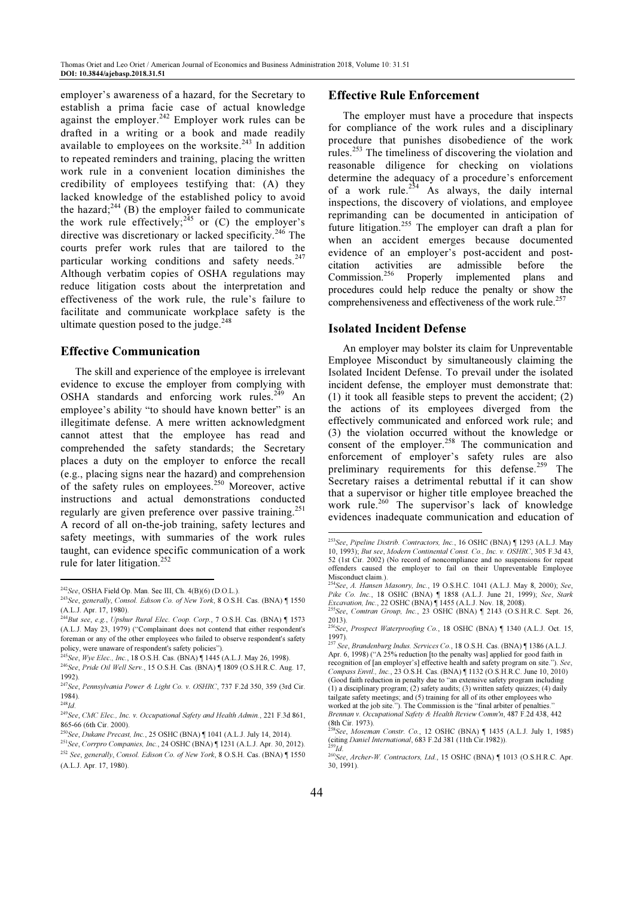employer's awareness of a hazard, for the Secretary to establish a prima facie case of actual knowledge against the employer.<sup>242</sup> Employer work rules can be drafted in a writing or a book and made readily available to employees on the worksite. $243$  In addition to repeated reminders and training, placing the written work rule in a convenient location diminishes the credibility of employees testifying that: (A) they lacked knowledge of the established policy to avoid the hazard;<sup>244</sup> (B) the employer failed to communicate the work rule effectively;  $245$  or (C) the employer's directive was discretionary or lacked specificity.<sup>246</sup> The courts prefer work rules that are tailored to the particular working conditions and safety needs. $247$ Although verbatim copies of OSHA regulations may reduce litigation costs about the interpretation and effectiveness of the work rule, the rule's failure to facilitate and communicate workplace safety is the ultimate question posed to the judge. $248$ 

#### Effective Communication

The skill and experience of the employee is irrelevant evidence to excuse the employer from complying with OSHA standards and enforcing work rules. $2\overline{49}$  An employee's ability "to should have known better" is an illegitimate defense. A mere written acknowledgment cannot attest that the employee has read and comprehended the safety standards; the Secretary places a duty on the employer to enforce the recall (e.g., placing signs near the hazard) and comprehension of the safety rules on employees. $250$  Moreover, active instructions and actual demonstrations conducted regularly are given preference over passive training.<sup>251</sup> A record of all on-the-job training, safety lectures and safety meetings, with summaries of the work rules taught, can evidence specific communication of a work rule for later litigation.<sup>252</sup>

l

### Effective Rule Enforcement

The employer must have a procedure that inspects for compliance of the work rules and a disciplinary procedure that punishes disobedience of the work rules.<sup>253</sup> The timeliness of discovering the violation and reasonable diligence for checking on violations determine the adequacy of a procedure's enforcement of a work rule.<sup>254</sup> As always, the daily internal inspections, the discovery of violations, and employee reprimanding can be documented in anticipation of future litigation.<sup>255</sup> The employer can draft a plan for when an accident emerges because documented evidence of an employer's post-accident and post-<br>citation activities are admissible before the citation activities are admissible before the<br>Commission.<sup>256</sup> Properly implemented plans and Properly implemented plans and procedures could help reduce the penalty or show the comprehensiveness and effectiveness of the work rule.<sup>257</sup>

#### Isolated Incident Defense

An employer may bolster its claim for Unpreventable Employee Misconduct by simultaneously claiming the Isolated Incident Defense. To prevail under the isolated incident defense, the employer must demonstrate that: (1) it took all feasible steps to prevent the accident; (2) the actions of its employees diverged from the effectively communicated and enforced work rule; and (3) the violation occurred without the knowledge or consent of the employer.<sup>258</sup> The communication and enforcement of employer's safety rules are also preliminary requirements for this defense.<sup>259</sup> The Secretary raises a detrimental rebuttal if it can show that a supervisor or higher title employee breached the work rule.<sup>260</sup> The supervisor's lack of knowledge evidences inadequate communication and education of

255 See, Comtran Group, Inc., 23 OSHC (BNA) ¶ 2143 (O.S.H.R.C. Sept. 26, 2013).

Apr. 6, 1998) ("A 25% reduction [to the penalty was] applied for good faith in recognition of [an employer's] effective health and safety program on site."). See, Compass Envtl., Inc., 23 O.S.H. Cas. (BNA) ¶ 1132 (O.S.H.R.C. June 10, 2010) (Good faith reduction in penalty due to "an extensive safety program including  $(1)$  a disciplinary program;  $(2)$  safety audits;  $(3)$  written safety quizzes;  $(4)$  daily tailgate safety meetings; and (5) training for all of its other employees who worked at the job site."). The Commission is the "final arbiter of penalties."

Brennan v. Occupational Safety & Health Review Comm'n, 487 F.2d 438, 442 (8th Cir. 1973).

L

<sup>242</sup>See, OSHA Field Op. Man. Sec III, Ch. 4(B)(6) (D.O.L.).

<sup>243</sup>See, generally, Consol. Edison Co. of New York, 8 O.S.H. Cas. (BNA) ¶ 1550 (A.L.J. Apr. 17, 1980).

<sup>&</sup>lt;sup>244</sup>But see, e.g., Upshur Rural Elec. Coop. Corp., 7 O.S.H. Cas. (BNA) [ 1573 (A.L.J. May 23, 1979) ("Complainant does not contend that either respondent's foreman or any of the other employees who failed to observe respondent's safety policy, were unaware of respondent's safety policies").

<sup>&</sup>lt;sup>245</sup>See, Wye Elec., Inc., 18 O.S.H. Cas. (BNA) ¶ 1445 (A.L.J. May 26, 1998).

<sup>246</sup>See, Pride Oil Well Serv., 15 O.S.H. Cas. (BNA) ¶ 1809 (O.S.H.R.C. Aug. 17, 1992).

 $247$ See, Pennsylvania Power & Light Co. v. OSHRC, 737 F.2d 350, 359 (3rd Cir. 1984).

 $^{248}Id.$ 

<sup>&</sup>lt;sup>249</sup>See, CMC Elec., Inc. v. Occupational Safety and Health Admin., 221 F.3d 861, 865-66 (6th Cir. 2000).

<sup>250</sup>See, Dukane Precast, Inc., 25 OSHC (BNA) ¶ 1041 (A.L.J. July 14, 2014).

<sup>251</sup>See, Corrpro Companies, Inc., 24 OSHC (BNA) ¶ 1231 (A.L.J. Apr. 30, 2012). <sup>252</sup> See, generally, Consol. Edison Co. of New York, 8 O.S.H. Cas. (BNA) ¶ 1550 (A.L.J. Apr. 17, 1980).

<sup>253</sup>See, Pipeline Distrib. Contractors, Inc., 16 OSHC (BNA) ¶ 1293 (A.L.J. May 10, 1993); But see, Modern Continental Const. Co., Inc. v. OSHRC, 305 F.3d 43, 52 (1st Cir. 2002) (No record of noncompliance and no suspensions for repeat offenders caused the employer to fail on their Unpreventable Employee Misconduct claim.).

<sup>&</sup>lt;sup>4</sup>See, A. Hansen Masonry, Inc., 19 O.S.H.C. 1041 (A.L.J. May 8, 2000); See, Pike Co. Inc., 18 OSHC (BNA) | 1858 (A.L.J. June 21, 1999); See, Stark Excavation, Inc., 22 OSHC (BNA) ¶ 1455 (A.L.J. Nov. 18, 2008).

<sup>&</sup>lt;sup>256</sup>See, Prospect Waterproofing Co., 18 OSHC (BNA) ¶ 1340 (A.L.J. Oct. 15, 1997).

<sup>&</sup>lt;sup>257</sup> See, Brandenburg Indus. Services Co., 18 O.S.H. Cas. (BNA) [1386 (A.L.J.

<sup>&</sup>lt;sup>358</sup>See, Moseman Constr. Co., 12 OSHC (BNA) ¶ 1435 (A.L.J. July 1, 1985) (citing Daniel International, 683 F.2d 381 (11th Cir.1982)).  $9Id$ 

<sup>260</sup>See, Archer-W. Contractors, Ltd., 15 OSHC (BNA) ¶ 1013 (O.S.H.R.C. Apr. 30, 1991).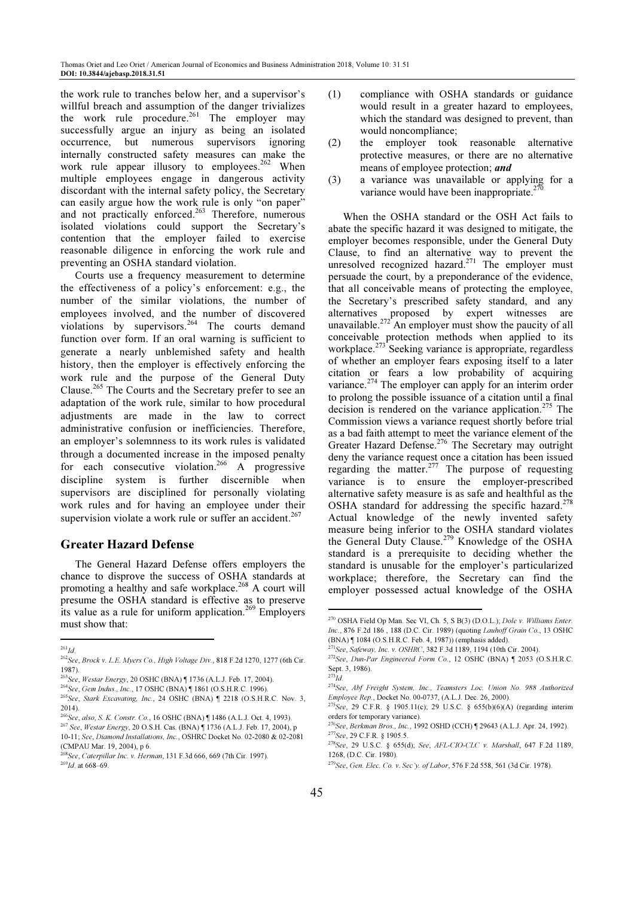the work rule to tranches below her, and a supervisor's willful breach and assumption of the danger trivializes the work rule procedure.<sup>261</sup> The employer may successfully argue an injury as being an isolated occurrence, but numerous supervisors ignoring internally constructed safety measures can make the work rule appear illusory to employees.<sup>262</sup> When multiple employees engage in dangerous activity discordant with the internal safety policy, the Secretary can easily argue how the work rule is only "on paper" and not practically enforced.<sup>263</sup> Therefore, numerous isolated violations could support the Secretary's contention that the employer failed to exercise reasonable diligence in enforcing the work rule and preventing an OSHA standard violation.

Courts use a frequency measurement to determine the effectiveness of a policy's enforcement: e.g., the number of the similar violations, the number of employees involved, and the number of discovered violations by supervisors.<sup>264</sup> The courts demand function over form. If an oral warning is sufficient to generate a nearly unblemished safety and health history, then the employer is effectively enforcing the work rule and the purpose of the General Duty Clause.<sup>265</sup> The Courts and the Secretary prefer to see an adaptation of the work rule, similar to how procedural adjustments are made in the law to correct administrative confusion or inefficiencies. Therefore, an employer's solemnness to its work rules is validated through a documented increase in the imposed penalty for each consecutive violation.<sup>266</sup> A progressive discipline system is further discernible when supervisors are disciplined for personally violating work rules and for having an employee under their supervision violate a work rule or suffer an accident.<sup>267</sup>

# Greater Hazard Defense

The General Hazard Defense offers employers the chance to disprove the success of OSHA standards at promoting a healthy and safe workplace.<sup>268</sup> A court will presume the OSHA standard is effective as to preserve its value as a rule for uniform application.<sup>269</sup> Employers must show that:

- (1) compliance with OSHA standards or guidance would result in a greater hazard to employees, which the standard was designed to prevent, than would noncompliance;
- (2) the employer took reasonable alternative protective measures, or there are no alternative means of employee protection; and
- (3) a variance was unavailable or applying for a variance would have been inappropriate.<sup>2</sup>

When the OSHA standard or the OSH Act fails to abate the specific hazard it was designed to mitigate, the employer becomes responsible, under the General Duty Clause, to find an alternative way to prevent the unresolved recognized hazard.<sup>271</sup> The employer must persuade the court, by a preponderance of the evidence, that all conceivable means of protecting the employee, the Secretary's prescribed safety standard, and any alternatives proposed by expert witnesses are unavailable.<sup>272</sup> An employer must show the paucity of all conceivable protection methods when applied to its workplace.<sup>273</sup> Seeking variance is appropriate, regardless of whether an employer fears exposing itself to a later citation or fears a low probability of acquiring variance.<sup>274</sup> The employer can apply for an interim order to prolong the possible issuance of a citation until a final decision is rendered on the variance application.<sup>275</sup> The Commission views a variance request shortly before trial as a bad faith attempt to meet the variance element of the Greater Hazard Defense.<sup>276</sup> The Secretary may outright deny the variance request once a citation has been issued regarding the matter. $277$  The purpose of requesting variance is to ensure the employer-prescribed alternative safety measure is as safe and healthful as the OSHA standard for addressing the specific hazard.<sup> $278$ </sup> Actual knowledge of the newly invented safety measure being inferior to the OSHA standard violates the General Duty Clause.<sup>279</sup> Knowledge of the OSHA standard is a prerequisite to deciding whether the standard is unusable for the employer's particularized workplace; therefore, the Secretary can find the employer possessed actual knowledge of the OSHA

L

l  $^{261}Id$ 

<sup>262</sup>See, Brock v. L.E. Myers Co., High Voltage Div., 818 F.2d 1270, 1277 (6th Cir. 1987).

<sup>263</sup>See, Westar Energy, 20 OSHC (BNA) ¶ 1736 (A.L.J. Feb. 17, 2004).

<sup>264</sup>See, Gem Indus., Inc., 17 OSHC (BNA) ¶ 1861 (O.S.H.R.C. 1996).

<sup>265</sup>See, Stark Excavating, Inc., 24 OSHC (BNA) ¶ 2218 (O.S.H.R.C. Nov. 3, 2014).

<sup>266</sup>See, also, S. K. Constr. Co., 16 OSHC (BNA) ¶ 1486 (A.L.J. Oct. 4, 1993). <sup>267</sup> See, Westar Energy, 20 O.S.H. Cas. (BNA) ¶ 1736 (A.L.J. Feb. 17, 2004), p 10-11; See, Diamond Installations, Inc., OSHRC Docket No. 02-2080 & 02-2081 (CMPAU Mar. 19, 2004), p 6.

<sup>&</sup>lt;sup>268</sup>See, Caterpillar Inc. v. Herman, 131 F.3d 666, 669 (7th Cir. 1997).  $269$ Id. at 668-69.

<sup>&</sup>lt;sup>270</sup> OSHA Field Op Man. Sec VI, Ch. 5, S B(3) (D.O.L.); *Dole v. Williams Enter.* Inc., 876 F.2d 186 , 188 (D.C. Cir. 1989) (quoting Lauhoff Grain Co., 13 OSHC (BNA) ¶ 1084 (O.S.H.R.C. Feb. 4, 1987)) (emphasis added).

 $^{271}$ See, Safeway, Inc. v. OSHRC, 382 F.3d 1189, 1194 (10th Cir. 2004).

 $272$ See, Dun-Par Engineered Form Co., 12 OSHC (BNA)  $\parallel$  2053 (O.S.H.R.C. Sept. 3, 1986).

 $273 \frac{1}{10}$ .

<sup>274</sup>See, Abf Freight System, Inc., Teamsters Loc. Union No. 988 Authorized Employee Rep., Docket No. 00-0737, (A.L.J. Dec. 26, 2000).

<sup>&</sup>lt;sup>275</sup>See, 29 C.F.R. § 1905.11(c); 29 U.S.C. § 655(b)(6)(A) (regarding interim orders for temporary variance).

<sup>276</sup>See, Berkman Bros., Inc., 1992 OSHD (CCH) ¶ 29643 (A.L.J. Apr. 24, 1992). <sup>277</sup>See, 29 C.F.R. § 1905.5.

<sup>278</sup>See, 29 U.S.C. § 655(d); See, AFL-CIO-CLC v. Marshall, 647 F.2d 1189, 1268, (D.C. Cir. 1980).

<sup>279</sup>See, Gen. Elec. Co. v. Sec'y. of Labor, 576 F.2d 558, 561 (3d Cir. 1978).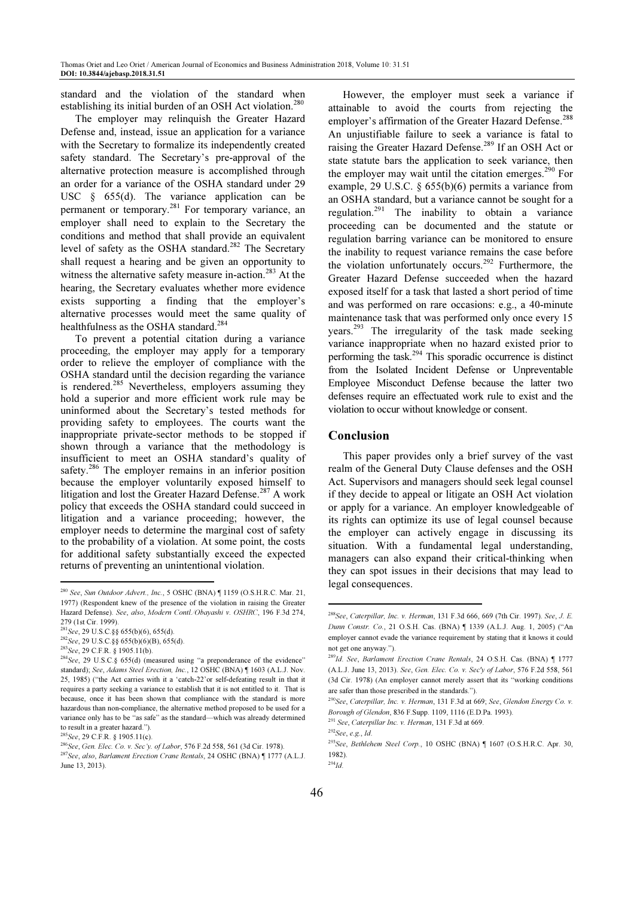standard and the violation of the standard when establishing its initial burden of an OSH Act violation.<sup>280</sup>

The employer may relinquish the Greater Hazard Defense and, instead, issue an application for a variance with the Secretary to formalize its independently created safety standard. The Secretary's pre-approval of the alternative protection measure is accomplished through an order for a variance of the OSHA standard under 29 USC § 655(d). The variance application can be permanent or temporary.<sup>281</sup> For temporary variance, an employer shall need to explain to the Secretary the conditions and method that shall provide an equivalent level of safety as the OSHA standard.<sup>282</sup> The Secretary shall request a hearing and be given an opportunity to witness the alternative safety measure in-action.<sup>283</sup> At the hearing, the Secretary evaluates whether more evidence exists supporting a finding that the employer's alternative processes would meet the same quality of healthfulness as the OSHA standard.<sup>284</sup>

To prevent a potential citation during a variance proceeding, the employer may apply for a temporary order to relieve the employer of compliance with the OSHA standard until the decision regarding the variance is rendered.<sup>285</sup> Nevertheless, employers assuming they hold a superior and more efficient work rule may be uninformed about the Secretary's tested methods for providing safety to employees. The courts want the inappropriate private-sector methods to be stopped if shown through a variance that the methodology is insufficient to meet an OSHA standard's quality of safety.<sup>286</sup> The employer remains in an inferior position because the employer voluntarily exposed himself to litigation and lost the Greater Hazard Defense.<sup>287</sup> A work policy that exceeds the OSHA standard could succeed in litigation and a variance proceeding; however, the employer needs to determine the marginal cost of safety to the probability of a violation. At some point, the costs for additional safety substantially exceed the expected returns of preventing an unintentional violation.

l

However, the employer must seek a variance if attainable to avoid the courts from rejecting the employer's affirmation of the Greater Hazard Defense.<sup>288</sup> An unjustifiable failure to seek a variance is fatal to raising the Greater Hazard Defense.<sup>289</sup> If an OSH Act or state statute bars the application to seek variance, then the employer may wait until the citation emerges.<sup>290</sup> For example, 29 U.S.C. § 655(b)(6) permits a variance from an OSHA standard, but a variance cannot be sought for a regulation.<sup>291</sup> The inability to obtain a variance proceeding can be documented and the statute or regulation barring variance can be monitored to ensure the inability to request variance remains the case before the violation unfortunately occurs.<sup>292</sup> Furthermore, the Greater Hazard Defense succeeded when the hazard exposed itself for a task that lasted a short period of time and was performed on rare occasions: e.g., a 40-minute maintenance task that was performed only once every 15 years.<sup>293</sup> The irregularity of the task made seeking variance inappropriate when no hazard existed prior to performing the task.<sup>294</sup> This sporadic occurrence is distinct from the Isolated Incident Defense or Unpreventable Employee Misconduct Defense because the latter two defenses require an effectuated work rule to exist and the violation to occur without knowledge or consent.

## Conclusion

This paper provides only a brief survey of the vast realm of the General Duty Clause defenses and the OSH Act. Supervisors and managers should seek legal counsel if they decide to appeal or litigate an OSH Act violation or apply for a variance. An employer knowledgeable of its rights can optimize its use of legal counsel because the employer can actively engage in discussing its situation. With a fundamental legal understanding, managers can also expand their critical-thinking when they can spot issues in their decisions that may lead to legal consequences.

<sup>&</sup>lt;sup>280</sup> See, Sun Outdoor Advert., Inc., 5 OSHC (BNA) [1159 (O.S.H.R.C. Mar. 21, 1977) (Respondent knew of the presence of the violation in raising the Greater Hazard Defense). See, also, Modern Contl./Obayashi v. OSHRC, 196 F.3d 274, 279 (1st Cir. 1999).

 $281$ See, 29 U.S.C. §§ 655(b)(6), 655(d).

<sup>282</sup>See, 29 U.S.C.§§ 655(b)(6)(B), 655(d).

<sup>283</sup>See, 29 C.F.R. § 1905.11(b).

<sup>&</sup>lt;sup>284</sup>See, 29 U.S.C.§ 655(d) (measured using "a preponderance of the evidence" standard); See, Adams Steel Erection, Inc., 12 OSHC (BNA) [ 1603 (A.L.J. Nov. 25, 1985) ("the Act carries with it a 'catch-22'or self-defeating result in that it requires a party seeking a variance to establish that it is not entitled to it. That is because, once it has been shown that compliance with the standard is more hazardous than non-compliance, the alternative method proposed to be used for a variance only has to be "as safe" as the standard—which was already determined to result in a greater hazard.").

<sup>285</sup> See, 29 C.F.R. § 1905.11(c).

<sup>286</sup>See, Gen. Elec. Co. v. Sec'y. of Labor, 576 F.2d 558, 561 (3d Cir. 1978). <sup>287</sup>See, also, Barlament Erection Crane Rentals, 24 OSHC (BNA) ¶ 1777 (A.L.J. June 13, 2013).

<sup>288</sup>See, Caterpillar, Inc. v. Herman, 131 F.3d 666, 669 (7th Cir. 1997). See, J. E. Dunn Constr. Co., 21 O.S.H. Cas. (BNA) ¶ 1339 (A.L.J. Aug. 1, 2005) ("An employer cannot evade the variance requirement by stating that it knows it could not get one anyway.")

<sup>&</sup>lt;sup>289</sup>Id. See, Barlament Erection Crane Rentals, 24 O.S.H. Cas. (BNA) [ 1777 (A.L.J. June 13, 2013). See, Gen. Elec. Co. v. Sec'y of Labor, 576 F.2d 558, 561 (3d Cir. 1978) (An employer cannot merely assert that its "working conditions are safer than those prescribed in the standards.").

 $290$ See, Caterpillar, Inc. v. Herman, 131 F.3d at 669; See, Glendon Energy Co. v. Borough of Glendon, 836 F.Supp. 1109, 1116 (E.D.Pa. 1993).

<sup>&</sup>lt;sup>291</sup> See, Caterpillar Inc. v. Herman, 131 F.3d at 669. <sup>292</sup>See, e.g., Id.

<sup>293</sup>See, Bethlehem Steel Corp., 10 OSHC (BNA) ¶ 1607 (O.S.H.R.C. Apr. 30, 1982).

 $^{294}$ Id.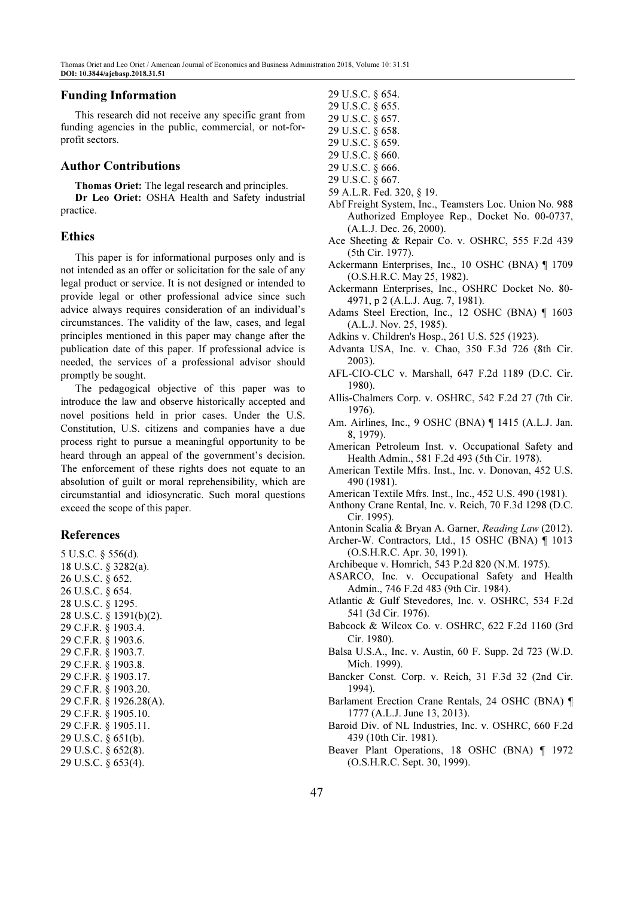#### Funding Information

This research did not receive any specific grant from funding agencies in the public, commercial, or not-forprofit sectors.

#### Author Contributions

Thomas Oriet: The legal research and principles.

Dr Leo Oriet: OSHA Health and Safety industrial practice.

#### Ethics

This paper is for informational purposes only and is not intended as an offer or solicitation for the sale of any legal product or service. It is not designed or intended to provide legal or other professional advice since such advice always requires consideration of an individual's circumstances. The validity of the law, cases, and legal principles mentioned in this paper may change after the publication date of this paper. If professional advice is needed, the services of a professional advisor should promptly be sought.

The pedagogical objective of this paper was to introduce the law and observe historically accepted and novel positions held in prior cases. Under the U.S. Constitution, U.S. citizens and companies have a due process right to pursue a meaningful opportunity to be heard through an appeal of the government's decision. The enforcement of these rights does not equate to an absolution of guilt or moral reprehensibility, which are circumstantial and idiosyncratic. Such moral questions exceed the scope of this paper.

## References

5 U.S.C. § 556(d). 18 U.S.C. § 3282(a). 26 U.S.C. § 652. 26 U.S.C. § 654. 28 U.S.C. § 1295. 28 U.S.C. § 1391(b)(2). 29 C.F.R. § 1903.4. 29 C.F.R. § 1903.6. 29 C.F.R. § 1903.7. 29 C.F.R. § 1903.8. 29 C.F.R. § 1903.17. 29 C.F.R. § 1903.20. 29 C.F.R. § 1926.28(A). 29 C.F.R. § 1905.10. 29 C.F.R. § 1905.11. 29 U.S.C. § 651(b). 29 U.S.C. § 652(8). 29 U.S.C. § 653(4).

- 29 U.S.C. § 654.
- 29 U.S.C. § 655.
- 29 U.S.C. § 657.
- 29 U.S.C. § 658. 29 U.S.C. § 659.
- 29 U.S.C. § 660.
- 29 U.S.C. § 666.
- 29 U.S.C. § 667.
- 59 A.L.R. Fed. 320, § 19.
- Abf Freight System, Inc., Teamsters Loc. Union No. 988 Authorized Employee Rep., Docket No. 00-0737, (A.L.J. Dec. 26, 2000).
- Ace Sheeting & Repair Co. v. OSHRC, 555 F.2d 439 (5th Cir. 1977).
- Ackermann Enterprises, Inc., 10 OSHC (BNA) ¶ 1709 (O.S.H.R.C. May 25, 1982).
- Ackermann Enterprises, Inc., OSHRC Docket No. 80- 4971, p 2 (A.L.J. Aug. 7, 1981).
- Adams Steel Erection, Inc., 12 OSHC (BNA) ¶ 1603 (A.L.J. Nov. 25, 1985).
- Adkins v. Children's Hosp., 261 U.S. 525 (1923).
- Advanta USA, Inc. v. Chao, 350 F.3d 726 (8th Cir. 2003).
- AFL-CIO-CLC v. Marshall, 647 F.2d 1189 (D.C. Cir. 1980).
- Allis-Chalmers Corp. v. OSHRC, 542 F.2d 27 (7th Cir. 1976).
- Am. Airlines, Inc., 9 OSHC (BNA) ¶ 1415 (A.L.J. Jan. 8, 1979).
- American Petroleum Inst. v. Occupational Safety and Health Admin., 581 F.2d 493 (5th Cir. 1978).
- American Textile Mfrs. Inst., Inc. v. Donovan, 452 U.S. 490 (1981).
- American Textile Mfrs. Inst., Inc., 452 U.S. 490 (1981).
- Anthony Crane Rental, Inc. v. Reich, 70 F.3d 1298 (D.C. Cir. 1995).
- Antonin Scalia & Bryan A. Garner, Reading Law (2012).
- Archer-W. Contractors, Ltd., 15 OSHC (BNA) ¶ 1013 (O.S.H.R.C. Apr. 30, 1991).
- Archibeque v. Homrich, 543 P.2d 820 (N.M. 1975).
- ASARCO, Inc. v. Occupational Safety and Health Admin., 746 F.2d 483 (9th Cir. 1984).
- Atlantic & Gulf Stevedores, Inc. v. OSHRC, 534 F.2d 541 (3d Cir. 1976).
- Babcock & Wilcox Co. v. OSHRC, 622 F.2d 1160 (3rd Cir. 1980).
- Balsa U.S.A., Inc. v. Austin, 60 F. Supp. 2d 723 (W.D. Mich. 1999).
- Bancker Const. Corp. v. Reich, 31 F.3d 32 (2nd Cir. 1994).
- Barlament Erection Crane Rentals, 24 OSHC (BNA) ¶ 1777 (A.L.J. June 13, 2013).
- Baroid Div. of NL Industries, Inc. v. OSHRC, 660 F.2d 439 (10th Cir. 1981).
- Beaver Plant Operations, 18 OSHC (BNA) ¶ 1972 (O.S.H.R.C. Sept. 30, 1999).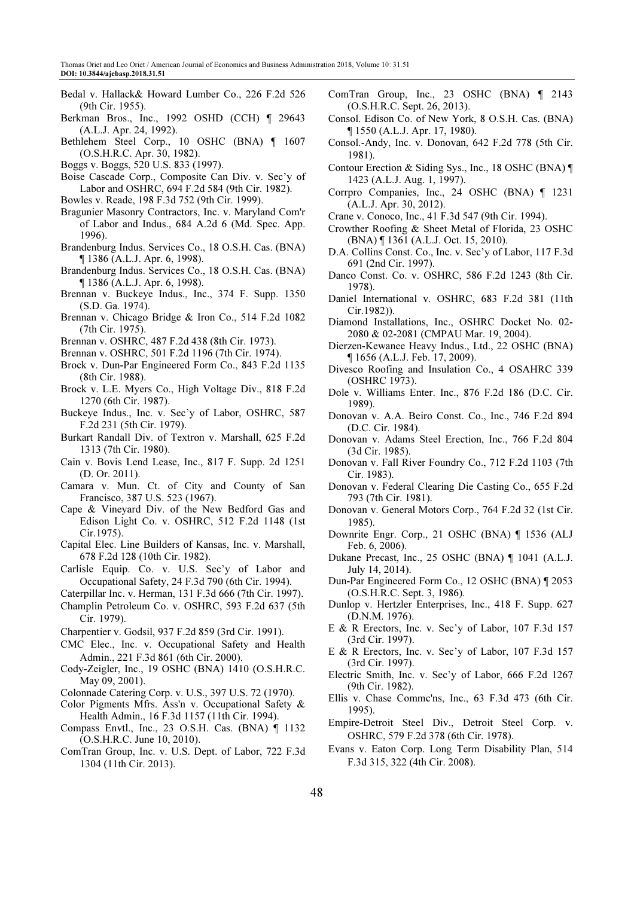- Bedal v. Hallack& Howard Lumber Co., 226 F.2d 526 (9th Cir. 1955).
- Berkman Bros., Inc., 1992 OSHD (CCH) ¶ 29643 (A.L.J. Apr. 24, 1992).
- Bethlehem Steel Corp., 10 OSHC (BNA) ¶ 1607 (O.S.H.R.C. Apr. 30, 1982).
- Boggs v. Boggs, 520 U.S. 833 (1997).
- Boise Cascade Corp., Composite Can Div. v. Sec'y of Labor and OSHRC, 694 F.2d 584 (9th Cir. 1982).
- Bowles v. Reade, 198 F.3d 752 (9th Cir. 1999).
- Bragunier Masonry Contractors, Inc. v. Maryland Com'r of Labor and Indus., 684 A.2d 6 (Md. Spec. App. 1996).
- Brandenburg Indus. Services Co., 18 O.S.H. Cas. (BNA) ¶ 1386 (A.L.J. Apr. 6, 1998).
- Brandenburg Indus. Services Co., 18 O.S.H. Cas. (BNA) ¶ 1386 (A.L.J. Apr. 6, 1998).
- Brennan v. Buckeye Indus., Inc., 374 F. Supp. 1350 (S.D. Ga. 1974).
- Brennan v. Chicago Bridge & Iron Co., 514 F.2d 1082 (7th Cir. 1975).
- Brennan v. OSHRC, 487 F.2d 438 (8th Cir. 1973).
- Brennan v. OSHRC, 501 F.2d 1196 (7th Cir. 1974).
- Brock v. Dun-Par Engineered Form Co., 843 F.2d 1135 (8th Cir. 1988).
- Brock v. L.E. Myers Co., High Voltage Div., 818 F.2d 1270 (6th Cir. 1987).
- Buckeye Indus., Inc. v. Sec'y of Labor, OSHRC, 587 F.2d 231 (5th Cir. 1979).
- Burkart Randall Div. of Textron v. Marshall, 625 F.2d 1313 (7th Cir. 1980).
- Cain v. Bovis Lend Lease, Inc., 817 F. Supp. 2d 1251 (D. Or. 2011).
- Camara v. Mun. Ct. of City and County of San Francisco, 387 U.S. 523 (1967).
- Cape & Vineyard Div. of the New Bedford Gas and Edison Light Co. v. OSHRC, 512 F.2d 1148 (1st Cir.1975).
- Capital Elec. Line Builders of Kansas, Inc. v. Marshall, 678 F.2d 128 (10th Cir. 1982).
- Carlisle Equip. Co. v. U.S. Sec'y of Labor and Occupational Safety, 24 F.3d 790 (6th Cir. 1994).
- Caterpillar Inc. v. Herman, 131 F.3d 666 (7th Cir. 1997).
- Champlin Petroleum Co. v. OSHRC, 593 F.2d 637 (5th Cir. 1979).
- Charpentier v. Godsil, 937 F.2d 859 (3rd Cir. 1991).
- CMC Elec., Inc. v. Occupational Safety and Health Admin., 221 F.3d 861 (6th Cir. 2000).
- Cody-Zeigler, Inc., 19 OSHC (BNA) 1410 (O.S.H.R.C. May 09, 2001).
- Colonnade Catering Corp. v. U.S., 397 U.S. 72 (1970).
- Color Pigments Mfrs. Ass'n v. Occupational Safety & Health Admin., 16 F.3d 1157 (11th Cir. 1994).
- Compass Envtl., Inc., 23 O.S.H. Cas. (BNA) ¶ 1132 (O.S.H.R.C. June 10, 2010).
- ComTran Group, Inc. v. U.S. Dept. of Labor, 722 F.3d 1304 (11th Cir. 2013).
- ComTran Group, Inc., 23 OSHC (BNA) ¶ 2143 (O.S.H.R.C. Sept. 26, 2013).
- Consol. Edison Co. of New York, 8 O.S.H. Cas. (BNA) ¶ 1550 (A.L.J. Apr. 17, 1980).
- Consol.-Andy, Inc. v. Donovan, 642 F.2d 778 (5th Cir. 1981).
- Contour Erection & Siding Sys., Inc., 18 OSHC (BNA) ¶ 1423 (A.L.J. Aug. 1, 1997).
- Corrpro Companies, Inc., 24 OSHC (BNA) ¶ 1231 (A.L.J. Apr. 30, 2012).
- Crane v. Conoco, Inc., 41 F.3d 547 (9th Cir. 1994).
- Crowther Roofing & Sheet Metal of Florida, 23 OSHC (BNA) ¶ 1361 (A.L.J. Oct. 15, 2010).
- D.A. Collins Const. Co., Inc. v. Sec'y of Labor, 117 F.3d 691 (2nd Cir. 1997).
- Danco Const. Co. v. OSHRC, 586 F.2d 1243 (8th Cir. 1978).
- Daniel International v. OSHRC, 683 F.2d 381 (11th Cir.1982)).
- Diamond Installations, Inc., OSHRC Docket No. 02- 2080 & 02-2081 (CMPAU Mar. 19, 2004).
- Dierzen-Kewanee Heavy Indus., Ltd., 22 OSHC (BNA) ¶ 1656 (A.L.J. Feb. 17, 2009).
- Divesco Roofing and Insulation Co., 4 OSAHRC 339 (OSHRC 1973).
- Dole v. Williams Enter. Inc., 876 F.2d 186 (D.C. Cir. 1989).
- Donovan v. A.A. Beiro Const. Co., Inc., 746 F.2d 894 (D.C. Cir. 1984).
- Donovan v. Adams Steel Erection, Inc., 766 F.2d 804 (3d Cir. 1985).
- Donovan v. Fall River Foundry Co., 712 F.2d 1103 (7th Cir. 1983).
- Donovan v. Federal Clearing Die Casting Co., 655 F.2d 793 (7th Cir. 1981).
- Donovan v. General Motors Corp., 764 F.2d 32 (1st Cir. 1985).
- Downrite Engr. Corp., 21 OSHC (BNA) ¶ 1536 (ALJ Feb. 6, 2006).
- Dukane Precast, Inc., 25 OSHC (BNA) ¶ 1041 (A.L.J. July 14, 2014).
- Dun-Par Engineered Form Co., 12 OSHC (BNA) ¶ 2053 (O.S.H.R.C. Sept. 3, 1986).
- Dunlop v. Hertzler Enterprises, Inc., 418 F. Supp. 627 (D.N.M. 1976).
- E & R Erectors, Inc. v. Sec'y of Labor, 107 F.3d 157 (3rd Cir. 1997).
- E & R Erectors, Inc. v. Sec'y of Labor, 107 F.3d 157 (3rd Cir. 1997).
- Electric Smith, Inc. v. Sec'y of Labor, 666 F.2d 1267 (9th Cir. 1982).
- Ellis v. Chase Commc'ns, Inc., 63 F.3d 473 (6th Cir. 1995).
- Empire-Detroit Steel Div., Detroit Steel Corp. v. OSHRC, 579 F.2d 378 (6th Cir. 1978).
- Evans v. Eaton Corp. Long Term Disability Plan, 514 F.3d 315, 322 (4th Cir. 2008).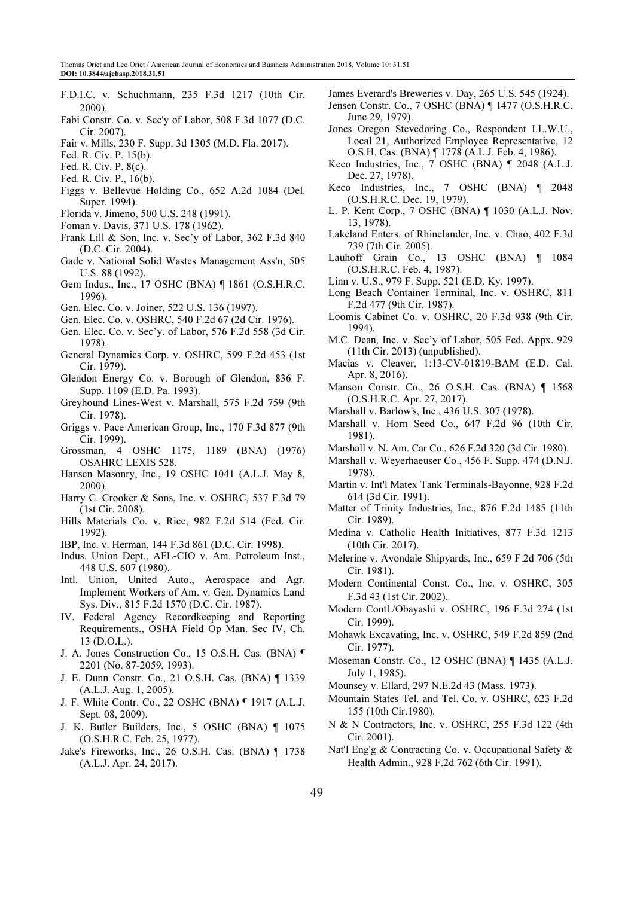- F.D.I.C. v. Schuchmann, 235 F.3d 1217 (10th Cir. 2000).
- Fabi Constr. Co. v. Sec'y of Labor, 508 F.3d 1077 (D.C. Cir. 2007).
- Fair v. Mills, 230 F. Supp. 3d 1305 (M.D. Fla. 2017).
- Fed. R. Civ. P. 15(b).
- Fed. R. Civ. P. 8(c).
- Fed. R. Civ. P., 16(b).
- Figgs v. Bellevue Holding Co., 652 A.2d 1084 (Del. Super. 1994).
- Florida v. Jimeno, 500 U.S. 248 (1991).
- Foman v. Davis, 371 U.S. 178 (1962).
- Frank Lill & Son, Inc. v. Sec'y of Labor, 362 F.3d 840 (D.C. Cir. 2004).
- Gade v. National Solid Wastes Management Ass'n, 505 U.S. 88 (1992).
- Gem Indus., Inc., 17 OSHC (BNA) ¶ 1861 (O.S.H.R.C. 1996).
- Gen. Elec. Co. v. Joiner, 522 U.S. 136 (1997).
- Gen. Elec. Co. v. OSHRC, 540 F.2d 67 (2d Cir. 1976).
- Gen. Elec. Co. v. Sec'y. of Labor, 576 F.2d 558 (3d Cir. 1978).
- General Dynamics Corp. v. OSHRC, 599 F.2d 453 (1st Cir. 1979).
- Glendon Energy Co. v. Borough of Glendon, 836 F. Supp. 1109 (E.D. Pa. 1993).
- Greyhound Lines-West v. Marshall, 575 F.2d 759 (9th Cir. 1978).
- Griggs v. Pace American Group, Inc., 170 F.3d 877 (9th Cir. 1999).
- Grossman, 4 OSHC 1175, 1189 (BNA) (1976) OSAHRC LEXIS 528.
- Hansen Masonry, Inc., 19 OSHC 1041 (A.L.J. May 8, 2000).
- Harry C. Crooker & Sons, Inc. v. OSHRC, 537 F.3d 79 (1st Cir. 2008).
- Hills Materials Co. v. Rice, 982 F.2d 514 (Fed. Cir. 1992).
- IBP, Inc. v. Herman, 144 F.3d 861 (D.C. Cir. 1998).
- Indus. Union Dept., AFL-CIO v. Am. Petroleum Inst., 448 U.S. 607 (1980).
- Intl. Union, United Auto., Aerospace and Agr. Implement Workers of Am. v. Gen. Dynamics Land Sys. Div., 815 F.2d 1570 (D.C. Cir. 1987).
- IV. Federal Agency Recordkeeping and Reporting Requirements., OSHA Field Op Man. Sec IV, Ch. 13 (D.O.L.).
- J. A. Jones Construction Co., 15 O.S.H. Cas. (BNA) ¶ 2201 (No. 87-2059, 1993).
- J. E. Dunn Constr. Co., 21 O.S.H. Cas. (BNA) ¶ 1339 (A.L.J. Aug. 1, 2005).
- J. F. White Contr. Co., 22 OSHC (BNA) ¶ 1917 (A.L.J. Sept. 08, 2009).
- J. K. Butler Builders, Inc., 5 OSHC (BNA) ¶ 1075 (O.S.H.R.C. Feb. 25, 1977).
- Jake's Fireworks, Inc., 26 O.S.H. Cas. (BNA) ¶ 1738 (A.L.J. Apr. 24, 2017).
- James Everard's Breweries v. Day, 265 U.S. 545 (1924).
- Jensen Constr. Co., 7 OSHC (BNA) ¶ 1477 (O.S.H.R.C. June 29, 1979).
- Jones Oregon Stevedoring Co., Respondent I.L.W.U., Local 21, Authorized Employee Representative, 12 O.S.H. Cas. (BNA) ¶ 1778 (A.L.J. Feb. 4, 1986).
- Keco Industries, Inc., 7 OSHC (BNA) ¶ 2048 (A.L.J. Dec. 27, 1978).
- Keco Industries, Inc., 7 OSHC (BNA) ¶ 2048 (O.S.H.R.C. Dec. 19, 1979).
- L. P. Kent Corp., 7 OSHC (BNA) ¶ 1030 (A.L.J. Nov. 13, 1978).
- Lakeland Enters. of Rhinelander, Inc. v. Chao, 402 F.3d 739 (7th Cir. 2005).
- Lauhoff Grain Co., 13 OSHC (BNA) 1 1084 (O.S.H.R.C. Feb. 4, 1987).
- Linn v. U.S., 979 F. Supp. 521 (E.D. Ky. 1997).
- Long Beach Container Terminal, Inc. v. OSHRC, 811 F.2d 477 (9th Cir. 1987).
- Loomis Cabinet Co. v. OSHRC, 20 F.3d 938 (9th Cir. 1994).
- M.C. Dean, Inc. v. Sec'y of Labor, 505 Fed. Appx. 929 (11th Cir. 2013) (unpublished).
- Macias v. Cleaver, 1:13-CV-01819-BAM (E.D. Cal. Apr. 8, 2016).
- Manson Constr. Co., 26 O.S.H. Cas. (BNA) ¶ 1568 (O.S.H.R.C. Apr. 27, 2017).
- Marshall v. Barlow's, Inc., 436 U.S. 307 (1978).
- Marshall v. Horn Seed Co., 647 F.2d 96 (10th Cir. 1981).
- Marshall v. N. Am. Car Co., 626 F.2d 320 (3d Cir. 1980).
- Marshall v. Weyerhaeuser Co., 456 F. Supp. 474 (D.N.J. 1978).
- Martin v. Int'l Matex Tank Terminals-Bayonne, 928 F.2d 614 (3d Cir. 1991).
- Matter of Trinity Industries, Inc., 876 F.2d 1485 (11th Cir. 1989).
- Medina v. Catholic Health Initiatives, 877 F.3d 1213 (10th Cir. 2017).
- Melerine v. Avondale Shipyards, Inc., 659 F.2d 706 (5th Cir. 1981).
- Modern Continental Const. Co., Inc. v. OSHRC, 305 F.3d 43 (1st Cir. 2002).
- Modern Contl./Obayashi v. OSHRC, 196 F.3d 274 (1st Cir. 1999).
- Mohawk Excavating, Inc. v. OSHRC, 549 F.2d 859 (2nd Cir. 1977).
- Moseman Constr. Co., 12 OSHC (BNA) ¶ 1435 (A.L.J. July 1, 1985).
- Mounsey v. Ellard, 297 N.E.2d 43 (Mass. 1973).
- Mountain States Tel. and Tel. Co. v. OSHRC, 623 F.2d 155 (10th Cir.1980).
- N & N Contractors, Inc. v. OSHRC, 255 F.3d 122 (4th Cir. 2001).
- Nat'l Eng'g & Contracting Co. v. Occupational Safety & Health Admin., 928 F.2d 762 (6th Cir. 1991).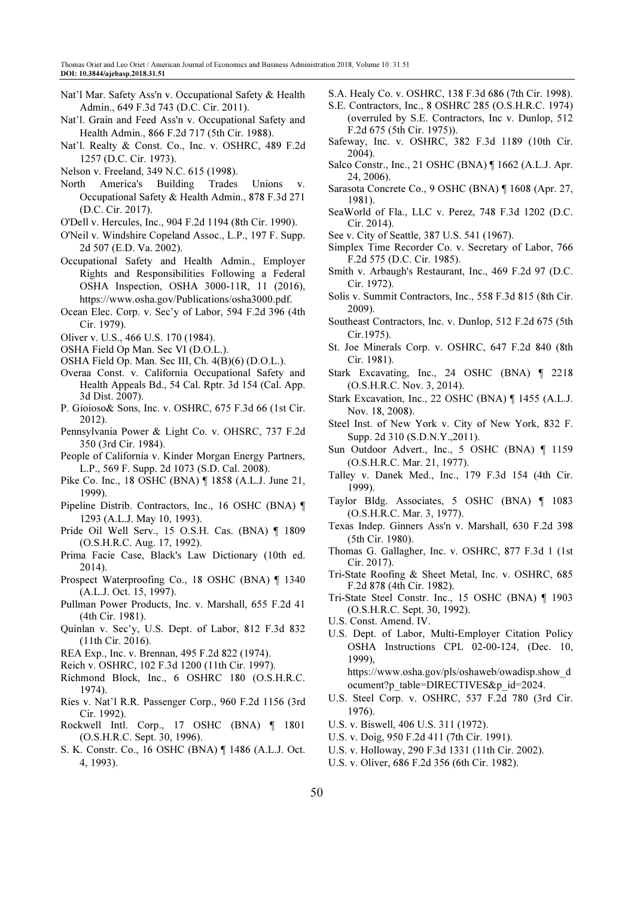- Nat'l Mar. Safety Ass'n v. Occupational Safety & Health Admin., 649 F.3d 743 (D.C. Cir. 2011).
- Nat'l. Grain and Feed Ass'n v. Occupational Safety and Health Admin., 866 F.2d 717 (5th Cir. 1988).
- Nat'l. Realty & Const. Co., Inc. v. OSHRC, 489 F.2d 1257 (D.C. Cir. 1973).
- Nelson v. Freeland, 349 N.C. 615 (1998).
- North America's Building Trades Unions v. Occupational Safety & Health Admin., 878 F.3d 271 (D.C. Cir. 2017).
- O'Dell v. Hercules, Inc., 904 F.2d 1194 (8th Cir. 1990).
- O'Neil v. Windshire Copeland Assoc., L.P., 197 F. Supp. 2d 507 (E.D. Va. 2002).
- Occupational Safety and Health Admin., Employer Rights and Responsibilities Following a Federal OSHA Inspection, OSHA 3000-11R, 11 (2016), https://www.osha.gov/Publications/osha3000.pdf.
- Ocean Elec. Corp. v. Sec'y of Labor, 594 F.2d 396 (4th Cir. 1979).
- Oliver v. U.S., 466 U.S. 170 (1984).
- OSHA Field Op Man. Sec VI (D.O.L.).
- OSHA Field Op. Man. Sec III, Ch. 4(B)(6) (D.O.L.).
- Overaa Const. v. California Occupational Safety and Health Appeals Bd., 54 Cal. Rptr. 3d 154 (Cal. App. 3d Dist. 2007).
- P. Gioioso& Sons, Inc. v. OSHRC, 675 F.3d 66 (1st Cir. 2012).
- Pennsylvania Power & Light Co. v. OHSRC, 737 F.2d 350 (3rd Cir. 1984).
- People of California v. Kinder Morgan Energy Partners, L.P., 569 F. Supp. 2d 1073 (S.D. Cal. 2008).
- Pike Co. Inc., 18 OSHC (BNA) ¶ 1858 (A.L.J. June 21, 1999).
- Pipeline Distrib. Contractors, Inc., 16 OSHC (BNA) ¶ 1293 (A.L.J. May 10, 1993).
- Pride Oil Well Serv., 15 O.S.H. Cas. (BNA) ¶ 1809 (O.S.H.R.C. Aug. 17, 1992).
- Prima Facie Case, Black's Law Dictionary (10th ed. 2014).
- Prospect Waterproofing Co., 18 OSHC (BNA) ¶ 1340 (A.L.J. Oct. 15, 1997).
- Pullman Power Products, Inc. v. Marshall, 655 F.2d 41 (4th Cir. 1981).
- Quinlan v. Sec'y, U.S. Dept. of Labor, 812 F.3d 832 (11th Cir. 2016).
- REA Exp., Inc. v. Brennan, 495 F.2d 822 (1974).
- Reich v. OSHRC, 102 F.3d 1200 (11th Cir. 1997).
- Richmond Block, Inc., 6 OSHRC 180 (O.S.H.R.C. 1974).
- Ries v. Nat'l R.R. Passenger Corp., 960 F.2d 1156 (3rd Cir. 1992).
- Rockwell Intl. Corp., 17 OSHC (BNA) ¶ 1801 (O.S.H.R.C. Sept. 30, 1996).
- S. K. Constr. Co., 16 OSHC (BNA) ¶ 1486 (A.L.J. Oct. 4, 1993).
- S.A. Healy Co. v. OSHRC, 138 F.3d 686 (7th Cir. 1998).
- S.E. Contractors, Inc., 8 OSHRC 285 (O.S.H.R.C. 1974) (overruled by S.E. Contractors, Inc v. Dunlop, 512 F.2d 675 (5th Cir. 1975)).
- Safeway, Inc. v. OSHRC, 382 F.3d 1189 (10th Cir. 2004).
- Salco Constr., Inc., 21 OSHC (BNA) ¶ 1662 (A.L.J. Apr. 24, 2006).
- Sarasota Concrete Co., 9 OSHC (BNA) ¶ 1608 (Apr. 27, 1981).
- SeaWorld of Fla., LLC v. Perez, 748 F.3d 1202 (D.C. Cir. 2014).
- See v. City of Seattle, 387 U.S. 541 (1967).
- Simplex Time Recorder Co. v. Secretary of Labor, 766 F.2d 575 (D.C. Cir. 1985).
- Smith v. Arbaugh's Restaurant, Inc., 469 F.2d 97 (D.C. Cir. 1972).
- Solis v. Summit Contractors, Inc., 558 F.3d 815 (8th Cir. 2009).
- Southeast Contractors, Inc. v. Dunlop, 512 F.2d 675 (5th Cir.1975).
- St. Joe Minerals Corp. v. OSHRC, 647 F.2d 840 (8th Cir. 1981).
- Stark Excavating, Inc., 24 OSHC (BNA) ¶ 2218 (O.S.H.R.C. Nov. 3, 2014).
- Stark Excavation, Inc., 22 OSHC (BNA) ¶ 1455 (A.L.J. Nov. 18, 2008).
- Steel Inst. of New York v. City of New York, 832 F. Supp. 2d 310 (S.D.N.Y.,2011).
- Sun Outdoor Advert., Inc., 5 OSHC (BNA) ¶ 1159 (O.S.H.R.C. Mar. 21, 1977).
- Talley v. Danek Med., Inc., 179 F.3d 154 (4th Cir. 1999).
- Taylor Bldg. Associates, 5 OSHC (BNA) ¶ 1083 (O.S.H.R.C. Mar. 3, 1977).
- Texas Indep. Ginners Ass'n v. Marshall, 630 F.2d 398 (5th Cir. 1980).
- Thomas G. Gallagher, Inc. v. OSHRC, 877 F.3d 1 (1st Cir. 2017).
- Tri-State Roofing & Sheet Metal, Inc. v. OSHRC, 685 F.2d 878 (4th Cir. 1982).
- Tri-State Steel Constr. Inc., 15 OSHC (BNA) ¶ 1903 (O.S.H.R.C. Sept. 30, 1992).
- U.S. Const. Amend. IV.
- U.S. Dept. of Labor, Multi-Employer Citation Policy OSHA Instructions CPL 02-00-124, (Dec. 10, 1999), https://www.osha.gov/pls/oshaweb/owadisp.show\_d

ocument?p\_table=DIRECTIVES&p\_id=2024.

- U.S. Steel Corp. v. OSHRC, 537 F.2d 780 (3rd Cir. 1976).
- U.S. v. Biswell, 406 U.S. 311 (1972).
- U.S. v. Doig, 950 F.2d 411 (7th Cir. 1991).
- U.S. v. Holloway, 290 F.3d 1331 (11th Cir. 2002).
- U.S. v. Oliver, 686 F.2d 356 (6th Cir. 1982).